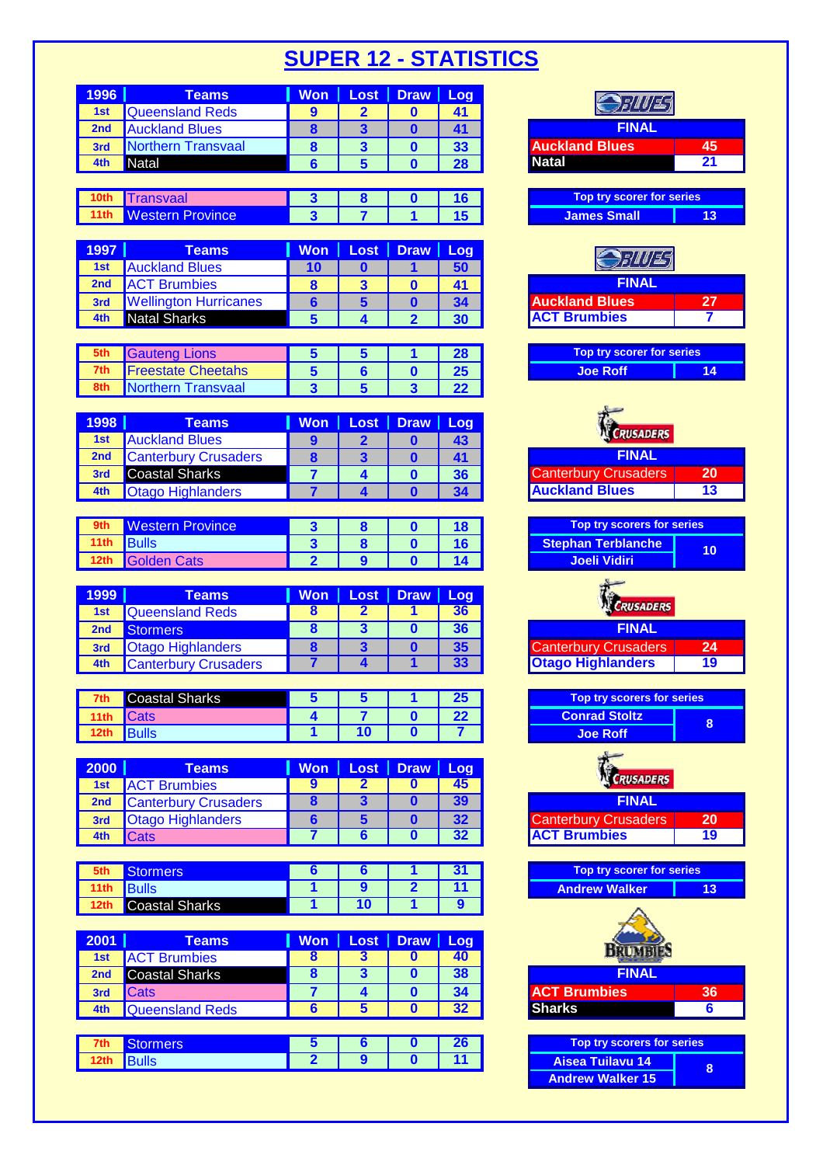| 1996            | <b>Teams</b>           | <b>Won</b> |   | $\textsf{Loss}$   Draw | Log |                                  |    |
|-----------------|------------------------|------------|---|------------------------|-----|----------------------------------|----|
| 1st             | <b>Queensland Reds</b> |            |   |                        |     |                                  |    |
| 2 <sub>nd</sub> | <b>Auckland Blues</b>  | ō          | З |                        |     | <b>FINAL</b>                     |    |
| 3rd             | Northern Transvaal     |            |   |                        | 33  | <b>Auckland Blues</b>            | 45 |
| 4th             | Natal                  |            |   |                        | 28  | <b>Natal</b>                     | 21 |
|                 |                        |            |   |                        |     |                                  |    |
|                 | <b>Transvaal</b>       |            |   |                        |     | <b>Top try scorer for series</b> |    |

| 1997 <b>I</b> | Teams                        |    | Won   Lost   Draw   Log |    |
|---------------|------------------------------|----|-------------------------|----|
| 1st           | <b>Auckland Blues</b>        | 10 |                         | 50 |
| 2nd           | <b>ACT Brumbies</b>          | 8  |                         | 41 |
| 3rd           | <b>Wellington Hurricanes</b> | 6  |                         | 34 |
| $A + h$       | Notal Charles                |    | ◠                       |    |

| 5th | <b>Gauteng Lions</b>      |  |  | Top try scorer for series |  |
|-----|---------------------------|--|--|---------------------------|--|
| 7th | <b>Freestate Cheetahs</b> |  |  | <b>Joe Roff</b>           |  |
| 8th | Northern Transvaal        |  |  |                           |  |

| 1998 | Teams                       | Won I | Lost   Draw   Log |    |
|------|-----------------------------|-------|-------------------|----|
| 1st  | <b>Auckland Blues</b>       | O     |                   | 43 |
| 2nd  | <b>Canterbury Crusaders</b> | 8     |                   |    |
| 3rd  | <b>Coastal Sharks</b>       |       |                   | 36 |
| 4th  | <b>Otago Highlanders</b>    |       |                   |    |

| 9th        | <b>Western Province</b> |  |  |
|------------|-------------------------|--|--|
| 11th Bulls |                         |  |  |
|            | 12th Golden Cats        |  |  |

| 1999 | Teams                       |  | Won   Lost   Draw   Log |    |
|------|-----------------------------|--|-------------------------|----|
|      | 1st Queensland Reds         |  |                         | 36 |
| 2nd  | Stormers                    |  |                         | 36 |
| 3rd  | <b>Otago Highlanders</b>    |  |                         | 35 |
| 4th  | <b>Canterbury Crusaders</b> |  |                         |    |

|      | <b>Coastal Sharks</b> |  | w          | try sco           |
|------|-----------------------|--|------------|-------------------|
|      | Cats                  |  | ົາງ<br>-74 | <b>Conrad Sto</b> |
| 12th |                       |  |            | <b>Joe Roff</b>   |

| <b>2000</b> | Teams                       |   | Won   Lost   Draw   Log |    |
|-------------|-----------------------------|---|-------------------------|----|
| 1st         | <b>ACT Brumbies</b>         | 9 |                         | 45 |
| 2nd         | <b>Canterbury Crusaders</b> |   |                         | 39 |
| 3rd         | <b>Otago Highlanders</b>    |   |                         | 32 |
| 4th         | <b>Cats</b>                 |   |                         | つつ |

|      | <b>cormers</b>        |    |   |
|------|-----------------------|----|---|
| 11th | <b>Bulls</b>          |    |   |
| 12th | <b>Coastal Sharks</b> | 10 | О |

| 2001 | Teams                  | <b>Won</b>        | Lost              | Draw     | Log |                            |                |
|------|------------------------|-------------------|-------------------|----------|-----|----------------------------|----------------|
| 1st  | <b>ACT Brumbies</b>    |                   |                   |          | 40  |                            |                |
| 2nd  | <b>Coastal Sharks</b>  |                   |                   |          | 38  | <b>FINAL</b>               |                |
| 3rd  | <b>Cats</b>            |                   |                   |          | 34  | <b>ACT Brumbies</b>        | 3 <sub>0</sub> |
| 4th  | <b>Queensland Reds</b> |                   |                   |          | 32  | <b>Sharks</b>              | 6              |
|      |                        |                   |                   |          |     |                            |                |
| 7th  | Stormers               |                   |                   |          | 26  | Top try scorers for series |                |
|      | <b><i>Andre</i> In</b> | $\mathbf{\Omega}$ | $\mathbf{\Omega}$ | <b>n</b> |     | . .<br>--<br>. .           |                |

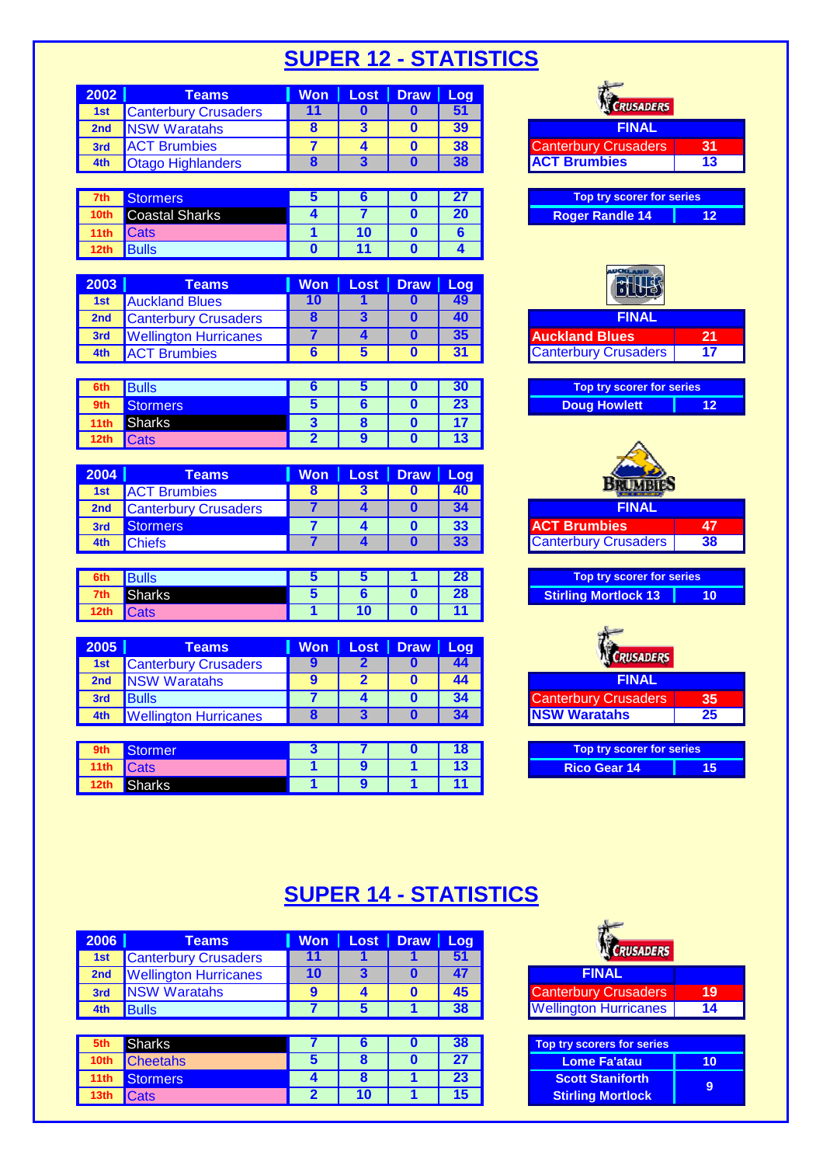| 2002 | Teams                       | <b>Won</b> | Lost   Draw   Log |    |                             |    |
|------|-----------------------------|------------|-------------------|----|-----------------------------|----|
| 1st  | <b>Canterbury Crusaders</b> |            |                   |    | <b>CRUSADERS</b>            |    |
| 2nd  | NSW Waratahs                |            |                   | 39 | <b>FINAL</b>                |    |
| 3rd  | <b>ACT Brumbies</b>         |            |                   | 38 | <b>Canterbury Crusaders</b> | 31 |
|      | <b>Otago Highlanders</b>    |            |                   |    | <b>ACT Brumbies</b>         | 13 |

| 7th              | Stormers <sup>1</sup> |  |  | Top try scorer for series |    |
|------------------|-----------------------|--|--|---------------------------|----|
| 10th             | <b>Coastal Sharks</b> |  |  | <b>Roger Randle 14</b>    | 12 |
| 11th             | <b>I</b> Cats         |  |  |                           |    |
| 12 <sub>th</sub> | <b>Bulls</b>          |  |  |                           |    |

| 2003            | Teams                        |  | Won   Lost   Draw   Log |    |                             |    |
|-----------------|------------------------------|--|-------------------------|----|-----------------------------|----|
| 1st             | <b>Auckland Blues</b>        |  |                         |    |                             |    |
| 2 <sub>nd</sub> | <b>Canterbury Crusaders</b>  |  |                         |    | FINAL                       |    |
| 3rd             | <b>Wellington Hurricanes</b> |  |                         | 35 | <b>Auckland Blues</b>       | 21 |
| 4th             | <b>Brumbies</b>              |  |                         |    | <b>Canterbury Crusaders</b> | 17 |

| 6th  | Bulls         |  |  | Top try scorer for series |
|------|---------------|--|--|---------------------------|
| 9th  | Stormers      |  |  | 12<br><b>Doug Howlett</b> |
| 11th | <b>Sharks</b> |  |  |                           |
| 12th | <b>Cats</b>   |  |  |                           |

| 2004            | Teams                       | <b>Won</b> | Lost   Draw | Log | <b>Salara</b> Do            |    |  |  |  |
|-----------------|-----------------------------|------------|-------------|-----|-----------------------------|----|--|--|--|
| 1st             | <b>ACT Brumbies</b>         |            |             |     |                             |    |  |  |  |
| 2 <sub>nd</sub> | <b>Canterbury Crusaders</b> |            |             |     | FINAL                       |    |  |  |  |
| 3rd             | <b>Stormers</b>             |            |             | 22  | <b>ACT Brumbies</b>         | 47 |  |  |  |
| 4th             | <sup>∙</sup> ∩hiefs         |            |             |     | <b>Canterbury Crusaders</b> | 38 |  |  |  |

| 6th             | roure         |  |  | Top try scorer for series   |
|-----------------|---------------|--|--|-----------------------------|
| 7th             | <b>Sharks</b> |  |  | Stirling Mortlock 13<br>4 O |
| i natu<br>i ztn | Udlð          |  |  |                             |

| 2005 | Teams                        | <b>Won</b> | Lost   Draw   Log |    |                             |    |
|------|------------------------------|------------|-------------------|----|-----------------------------|----|
| 1st  | <b>Canterbury Crusaders</b>  |            |                   | 44 | <b>CRUSADERS</b>            |    |
| 2nd  | <b>NSW Waratahs</b>          |            |                   | 44 | <b>FINAL</b>                |    |
| 3rd  | <b>Bulls</b>                 |            |                   |    | <b>Canterbury Crusaders</b> | 35 |
| 4th  | <b>Wellington Hurricanes</b> |            |                   |    | <b>NSW Waratahs</b>         | 25 |

| 9th     | Stormer     |  |  | Top try scorer for series |    |
|---------|-------------|--|--|---------------------------|----|
| ll 11th | <b>Cats</b> |  |  | <b>Rico Gear 14</b>       | 15 |
| 12th    | Sharks      |  |  |                           |    |

| <b>RUSADERS</b>                                          |                 |
|----------------------------------------------------------|-----------------|
| <b>FINAL</b>                                             |                 |
| <b>Canterbury Crusaders</b>                              | 31              |
| <b>ACT Brumbies</b>                                      | $\overline{13}$ |
|                                                          |                 |
| Top try scorer for series                                |                 |
| <b>Roger Randle 14</b>                                   | $\overline{12}$ |
|                                                          |                 |
|                                                          |                 |
|                                                          |                 |
|                                                          |                 |
| <b>FINAL</b>                                             |                 |
| uckland Blues                                            | 21              |
| <b>Canterbury Crusaders</b>                              | $\overline{17}$ |
|                                                          |                 |
| Top try scorer for series                                |                 |
| <b>Doug Howlett</b>                                      | $\overline{12}$ |
|                                                          |                 |
|                                                          |                 |
|                                                          |                 |
| <b>BRUMBIE</b>                                           |                 |
| <b>FINAL</b>                                             |                 |
| <b>ACT Brumbies</b>                                      | 47              |
| <b>Canterbury Crusaders</b>                              | 38              |
|                                                          |                 |
| Top try scorer for series<br><b>Stirling Mortlock 13</b> | $\overline{10}$ |
|                                                          |                 |
|                                                          |                 |
|                                                          |                 |
| <b>RUSADERS</b>                                          |                 |
| <b>FINAL</b>                                             |                 |
| <b>Canterbury Crusaders</b>                              | 35              |
| <b>NSW Waratahs</b>                                      | $\overline{25}$ |
|                                                          |                 |
| Top try scorer for series<br>$Diag$ Coar 14              | $\overline{4E}$ |
|                                                          |                 |

### **SUPER 14 - STATISTICS**

| 2006             | <b>Teams</b>                 | <b>Won</b> | Loss <sub>1</sub> | Draw   Log |    |                                   |  |  |
|------------------|------------------------------|------------|-------------------|------------|----|-----------------------------------|--|--|
| 1st              | <b>Canterbury Crusaders</b>  | 11         |                   |            | 51 | CRUSADERS                         |  |  |
| 2nd              | <b>Wellington Hurricanes</b> | 10         | 3                 |            | 47 | <b>FINAL</b>                      |  |  |
| 3rd              | <b>NSW Waratahs</b>          | 9          | 4                 | 0          | 45 | <b>Canterbury Crusaders</b>       |  |  |
| 4th              | <b>Bulls</b>                 |            | 5                 |            | 38 | <b>Wellington Hurricanes</b>      |  |  |
|                  |                              |            |                   |            |    |                                   |  |  |
|                  |                              |            |                   |            |    |                                   |  |  |
| 5th              | <b>Sharks</b>                |            | О                 |            | 38 | <b>Top try scorers for series</b> |  |  |
| 10th             | <b>Cheetahs</b>              | 5          | 8                 | O          | 27 | <b>Lome Fa'atau</b>               |  |  |
| 11 <sub>th</sub> | <b>Stormers</b>              | 4          | 8                 |            | 23 | <b>Scott Staniforth</b>           |  |  |

| <b>CRUSADERS</b>                  |    |
|-----------------------------------|----|
| <b>FINAL</b>                      |    |
| <b>Canterbury Crusaders</b>       | 19 |
| <b>Wellington Hurricanes</b>      | 14 |
|                                   |    |
| <b>Top try scorers for series</b> |    |
| <b>Lome Fa'atau</b>               |    |
| Caall Clanifarth                  |    |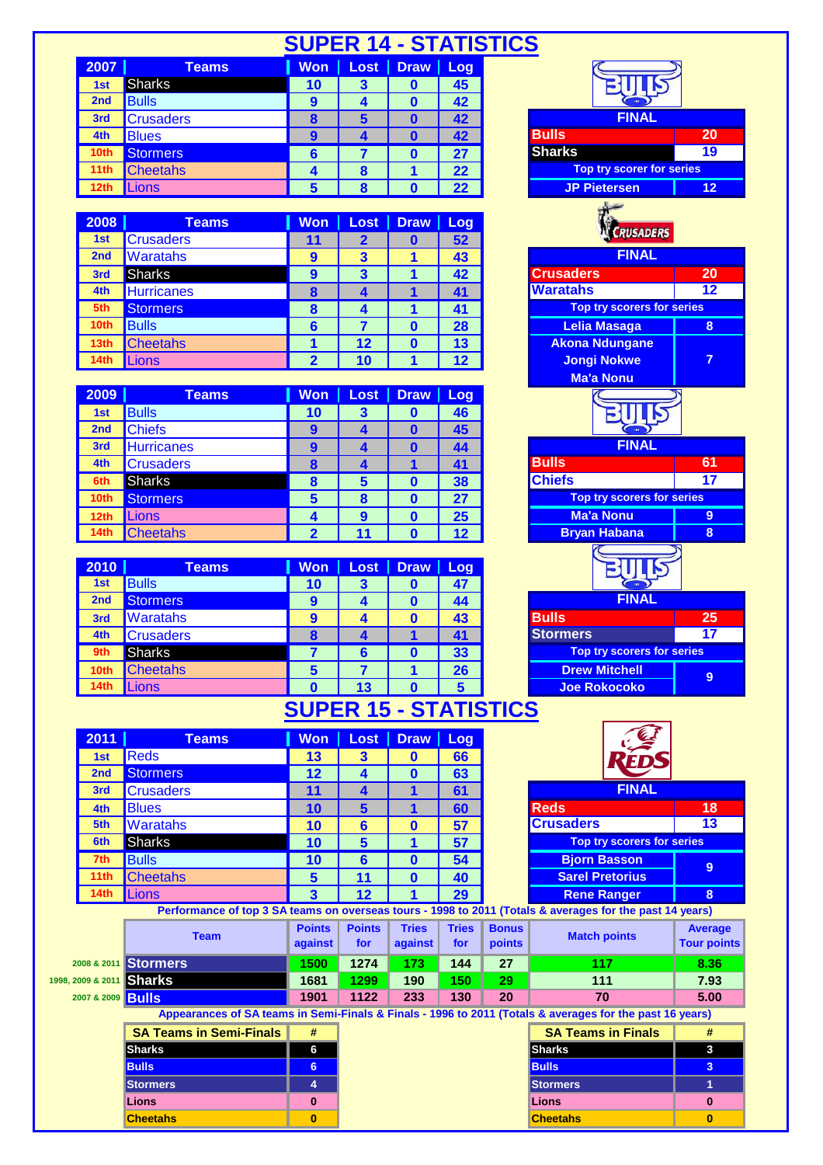|                   |                                |                              |                                           |                         |                       | <b>SUPER 14 - STATISTICS</b>                                                                                                   |
|-------------------|--------------------------------|------------------------------|-------------------------------------------|-------------------------|-----------------------|--------------------------------------------------------------------------------------------------------------------------------|
| 2007              | <b>Teams</b>                   | <b>Won</b>                   | Lost                                      | $Draw \mid$             | Log                   |                                                                                                                                |
| 1st               | <b>Sharks</b>                  | 10                           | 3                                         | 0                       | 45                    |                                                                                                                                |
| 2nd               | <b>Bulls</b>                   | $\boldsymbol{9}$             | 4                                         | $\mathbf 0$             | 42                    |                                                                                                                                |
| 3rd               | <b>Crusaders</b>               | $\overline{\mathbf{8}}$      | 5                                         | $\mathbf{0}$            | 42                    | <b>FINAL</b>                                                                                                                   |
| 4th               | <b>Blues</b>                   | $\overline{9}$               | $\overline{\mathbf{A}}$                   | $\mathbf{0}$            | 42                    | <b>Bulls</b><br>20                                                                                                             |
| 10th              | <b>Stormers</b>                | $6\phantom{1}6$              | 7                                         | 0                       | 27                    | $\overline{19}$<br><b>Sharks</b>                                                                                               |
| 11th              | <b>Cheetahs</b>                | 4                            | $\boldsymbol{8}$                          | 1                       | 22                    | Top try scorer for series                                                                                                      |
| 12th              | <b>Lions</b>                   |                              | 8                                         | $\mathbf{0}$            | 22                    | <b>JP Pietersen</b><br>12                                                                                                      |
|                   |                                |                              |                                           |                         |                       |                                                                                                                                |
| 2008              | <b>Teams</b>                   | <b>Won</b>                   | <b>Lost</b>                               | <b>Draw</b>             | Log                   | <b>CRUSADERS</b>                                                                                                               |
| 1st<br>2nd        | <b>Crusaders</b><br>Waratahs   | 11<br>9                      | $\overline{2}$<br>$\overline{\mathbf{3}}$ | $\bf{0}$<br>1           | $\overline{52}$<br>43 | <b>FINAL</b>                                                                                                                   |
| 3rd               | Sharks                         | $\overline{9}$               | $\overline{\mathbf{3}}$                   | 1                       | 42                    | <b>Crusaders</b><br>$\overline{20}$                                                                                            |
| 4th               | <b>Hurricanes</b>              | $\bf{8}$                     | $\overline{\mathbf{4}}$                   | $\blacktriangleleft$    | 41                    | $\overline{12}$<br><b>Waratahs</b>                                                                                             |
| 5th               | <b>Stormers</b>                | $\boldsymbol{8}$             | 4                                         | 1                       | 41                    | Top try scorers for series                                                                                                     |
| 10th              | <b>Bulls</b>                   | $6\phantom{a}$               | $\overline{7}$                            | $\mathbf 0$             | 28                    | <b>Lelia Masaga</b><br>8                                                                                                       |
| 13th              | <b>Cheetahs</b>                | 1                            | 12                                        | $\mathbf 0$             | 13                    | <b>Akona Ndungane</b>                                                                                                          |
| 14 <sub>th</sub>  | <b>Lions</b>                   | $\overline{2}$               | 10                                        | $\overline{\mathbf{1}}$ | 12                    | $\overline{7}$<br><b>Jongi Nokwe</b>                                                                                           |
|                   |                                |                              |                                           |                         |                       | <b>Ma'a Nonu</b>                                                                                                               |
| 2009              | <b>Teams</b>                   | <b>Won</b>                   | <b>Lost</b>                               | <b>Draw</b>             | Log                   |                                                                                                                                |
| 1st               | <b>Bulls</b>                   | 10                           | 3                                         | 0                       | 46                    | BIITIS                                                                                                                         |
| 2nd               | <b>Chiefs</b>                  | $\boldsymbol{9}$             | 4                                         | $\bf{0}$                | 45                    |                                                                                                                                |
| 3rd               | <b>Hurricanes</b>              | 9                            | 4                                         | $\bf{0}$                | 44                    | <b>FINAL</b>                                                                                                                   |
| 4th               | <b>Crusaders</b>               | $\bf{8}$                     | 4                                         | 1                       | 41                    | <b>Bulls</b><br>61                                                                                                             |
| 6th               | <b>Sharks</b>                  | $\boldsymbol{8}$             | 5                                         | 0                       | 38                    | <b>Chiefs</b><br>$\overline{17}$                                                                                               |
| 10th              | <b>Stormers</b>                | $\overline{\mathbf{5}}$      | $\bf{8}$                                  | $\mathbf 0$             | 27                    | Top try scorers for series                                                                                                     |
| 12th              | Lions                          | 4                            | $\boldsymbol{9}$                          | $\mathbf 0$             | 25                    | <b>Ma'a Nonu</b><br>9                                                                                                          |
| 14th              | <b>Cheetahs</b>                | $\overline{2}$               | 11                                        | $\mathbf{0}$            | 12                    | <b>Bryan Habana</b><br>$\bf{8}$                                                                                                |
|                   |                                |                              |                                           |                         |                       |                                                                                                                                |
| 2010              | <b>Teams</b>                   | <b>Won</b>                   | <b>Lost</b>                               | <b>Draw</b>             | Log                   |                                                                                                                                |
| 1st               | <b>Bulls</b>                   | 10                           | $\overline{\mathbf{3}}$                   | $\bf{0}$                | 47                    |                                                                                                                                |
| 2nd               | <b>Stormers</b>                | $\boldsymbol{9}$             | $\overline{\mathbf{4}}$                   | $\mathbf 0$             | 44                    | <b>FINAL</b>                                                                                                                   |
| 3rd               | <b>Waratahs</b>                | $\boldsymbol{9}$             | 4                                         | $\bf{0}$                | 43                    | <b>Bulls</b><br>25                                                                                                             |
| 4th               | <b>Crusaders</b>               | $\overline{\mathbf{8}}$      | $\blacktriangle$                          | 1                       | 41                    | <b>Stormers</b><br>$\overline{\mathbf{17}}$                                                                                    |
| 9th               | <b>Sharks</b>                  | $\overline{7}$               | $6\phantom{1}6$                           | $\bf{0}$                | 33                    | Top try scorers for series                                                                                                     |
| 10th              | <b>Cheetahs</b>                | $5\phantom{1}$               | $\overline{7}$                            | 1                       | 26                    | <b>Drew Mitchell</b><br>9                                                                                                      |
| 14th              | Lions                          | $\bf{0}$                     | 13                                        | $\mathbf{0}$            | 5                     | Joe Rokocoko                                                                                                                   |
|                   |                                | <b>SUPER 15 - STATISTICS</b> |                                           |                         |                       |                                                                                                                                |
| 2011              | <b>Teams</b>                   |                              |                                           |                         |                       |                                                                                                                                |
|                   |                                |                              |                                           |                         |                       |                                                                                                                                |
|                   |                                | <b>Won</b>                   | Lost                                      | <b>Draw</b>             | Log                   |                                                                                                                                |
| 1st<br>2nd        | <b>Reds</b>                    | 13                           | $\mathbf{3}$                              | $\mathbf{0}$            | 66                    |                                                                                                                                |
| 3rd               | <b>Stormers</b>                | 12                           | $\overline{\mathbf{4}}$                   | $\mathbf 0$             | 63                    | <b>FINAL</b>                                                                                                                   |
| 4th               | <b>Crusaders</b>               | 11                           | 4                                         | 1<br>1                  | 61                    |                                                                                                                                |
| 5th               | <b>Blues</b>                   | 10                           | $5\phantom{1}$                            |                         | 60                    | <b>Reds</b><br>18<br><b>Crusaders</b><br>13                                                                                    |
| 6th               | <b>Waratahs</b>                | 10                           | $6\phantom{1}6$                           | 0<br>1                  | 57                    | <b>Top try scorers for series</b>                                                                                              |
| 7th               | <b>Sharks</b>                  | 10                           | $5\phantom{1}$                            |                         | 57                    |                                                                                                                                |
| 11 <sub>th</sub>  | <b>Bulls</b>                   | 10                           | 6                                         | $\bf{0}$                | 54                    | <b>Bjorn Basson</b><br>9                                                                                                       |
| 14th              | <b>Cheetahs</b>                | 5<br>$\overline{\mathbf{3}}$ | 11<br>12                                  | $\mathbf{0}$<br>1       | 40<br>29              | <b>Sarel Pretorius</b><br>8                                                                                                    |
|                   | Lions                          |                              |                                           |                         |                       | <b>Rene Ranger</b><br>Performance of top 3 SA teams on overseas tours - 1998 to 2011 (Totals & averages for the past 14 years) |
|                   |                                | <b>Points</b>                | <b>Points</b>                             | <b>Tries</b>            | <b>Tries</b>          | <b>Bonus</b><br><b>Average</b>                                                                                                 |
|                   | <b>Team</b>                    | against                      | for                                       | against                 | for                   | <b>Match points</b><br>points                                                                                                  |
|                   | 2008 & 2011 Stormers           | 1500                         | 1274                                      | 173                     | 144                   | 117<br>8.36<br>27                                                                                                              |
|                   | 1998, 2009 & 2011 Sharks       | 1681                         | 1299                                      | 190                     | 150                   | 29<br>111<br>7.93                                                                                                              |
|                   |                                | 1901                         | 1122                                      | 233                     | 130                   | 70<br>20<br>5.00                                                                                                               |
|                   |                                |                              |                                           |                         |                       | Appearances of SA teams in Semi-Finals & Finals - 1996 to 2011 (Totals & averages for the past 16 years)                       |
|                   | <b>SA Teams in Semi-Finals</b> | #                            |                                           |                         |                       | <b>SA Teams in Finals</b><br>#                                                                                                 |
| 2007 & 2009 Bulls | <b>Sharks</b>                  | 6                            |                                           |                         |                       | <b>Sharks</b><br>3                                                                                                             |
|                   | <b>Bulls</b>                   | $6\phantom{1}$               |                                           |                         |                       | <b>Bulls</b><br>3                                                                                                              |
|                   | <b>Stormers</b>                | 4                            |                                           |                         |                       | <b>Stormers</b><br>1                                                                                                           |
|                   | Lions                          | $\bf{0}$                     |                                           |                         |                       | <b>Tour points</b><br>Lions<br>$\bf{0}$                                                                                        |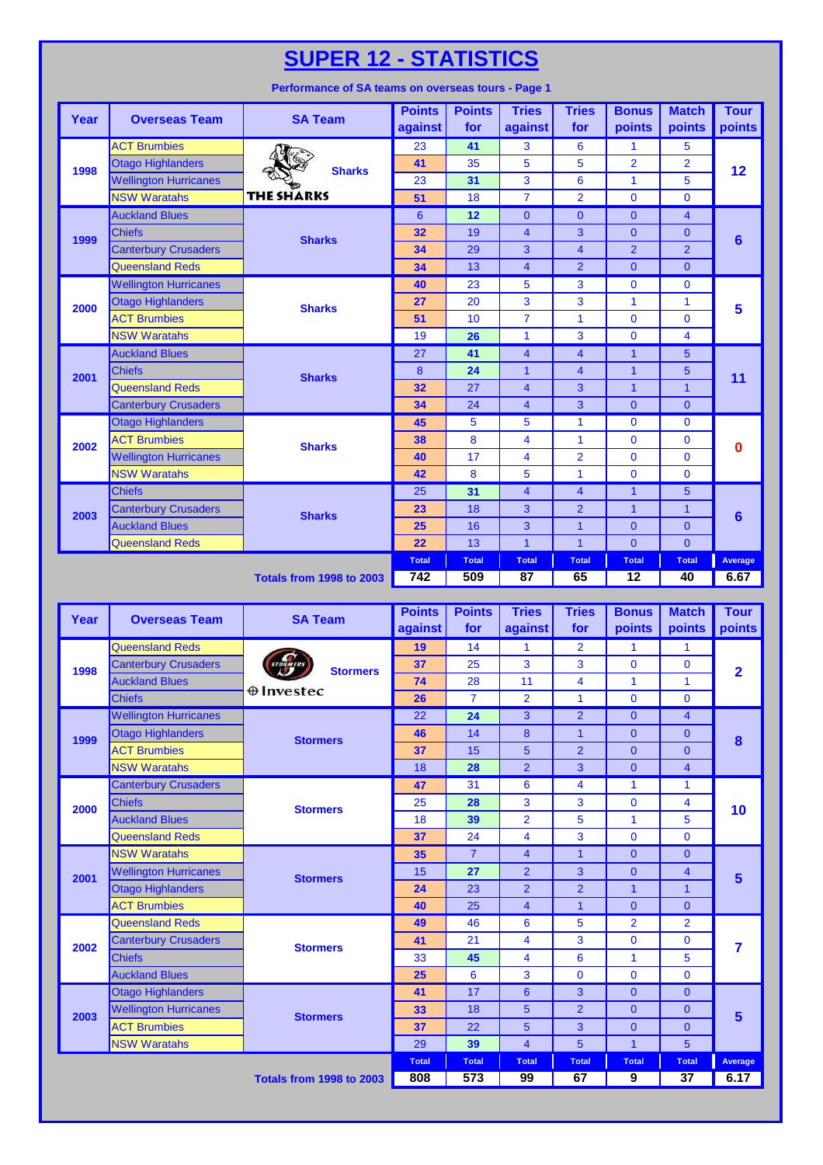**ACT Brumbies 100 a.m. 23 41 3 6 1 5** Otago Highlanders **41** 35 5 5 2 2 **1998 Sharks 1998 Construction Hurricanes 23 31 1 1 1 1 1 1 5 1 1 5 1 1 5 1 5 1 5 1 1 5 1 1 5 1 1 5 1 1 5 1 1 5 1 1 5 1 1 5 1 1 5 NSW Waratahs THE SHARKS 6 51 18 7 2 0 0 0 Auckland Blues 6 12 0 0 0 4** Chiefs **32** 19 4 3 0 0 Canterbury Crusaders **34** 29 3 4 2 2 **Queensland Reds 34 34 13 4 2 0 0** Wellington Hurricanes **40** 23 5 3 0 0 **Otago Highlanders 27 20** 3 3 1 1 1 ACT Brumbies **51** 10 7 1 0 0 **NSW Waratahs 19 26 1 3 0 4** Auckland Blues **27 41 4 4 4 1 5** Chiefs 8 **24** 1 4 1 5 Queensland Reds **32** 32 27 4 3 1 1 **Canterbury Crusaders 34 34 24 4 3 0 0 Otago Highlanders 1986 45 45 1 1 1 1 1 1 0 1 0 0 ACT Brumbies 6 5harks 38** 8 4 1 0 0 Wellington Hurricanes **40** 17 4 2 0 0 NSW Waratahs **42 42 8 5 1 0 0** 0 Chiefs 25 **31** 4 4 1 5 Canterbury Crusaders **23 2** 2 1 1 Auckland Blues **25 25** 16 3 1 0 0 0 Queensland Reds **22** 22 13 1 1 1 0 0 0 **Total Total Total Total Total Total Average Totals from 1998 to 2003 742 509 87 65 12 40 6.67 2003 Sharks 6 2002 Sharks 0 2001 Sharks 11 2000 Sharks 5 1999 Sharks 6 Tries for Bonus points Match points Tour points Year Overseas Team SA Team Points against Points for Tries against 12**

| Year | <b>Overseas Team</b>         | <b>SA Team</b>    | <b>Points</b><br>against | <b>Points</b><br>for | <b>Tries</b><br>against | <b>Tries</b><br>for | <b>Bonus</b><br>points | <b>Match</b><br>points  | <b>Tour</b><br>points |
|------|------------------------------|-------------------|--------------------------|----------------------|-------------------------|---------------------|------------------------|-------------------------|-----------------------|
|      | <b>Queensland Reds</b>       |                   | 19                       | 14                   | 1                       | $\overline{2}$      | 1                      | $\mathbf{1}$            |                       |
| 1998 | <b>Canterbury Crusaders</b>  | <b>Stormers</b>   | 37                       | 25                   | 3                       | 3                   | $\Omega$               | $\mathbf 0$             | $\overline{2}$        |
|      | <b>Auckland Blues</b>        |                   | 74                       | 28                   | 11                      | 4                   | $\mathbf{1}$           | $\mathbf{1}$            |                       |
|      | <b>Chiefs</b>                | $\oplus$ Investec | 26                       | $\overline{7}$       | $\overline{2}$          | $\mathbf{1}$        | $\mathbf{0}$           | $\mathbf{0}$            |                       |
|      | <b>Wellington Hurricanes</b> |                   | 22                       | 24                   | 3                       | $\overline{2}$      | $\mathbf{0}$           | $\overline{4}$          |                       |
| 1999 | <b>Otago Highlanders</b>     | <b>Stormers</b>   | 46                       | 14                   | 8                       | $\mathbf{1}$        | $\mathbf{0}$           | $\mathbf{0}$            | $\boldsymbol{8}$      |
|      | <b>ACT Brumbies</b>          |                   | 37                       | 15                   | 5                       | $\overline{2}$      | $\overline{0}$         | $\Omega$                |                       |
|      | <b>NSW Waratahs</b>          |                   | 18                       | 28                   | $\overline{2}$          | $\overline{3}$      | $\overline{0}$         | $\overline{\mathbf{4}}$ |                       |
|      | <b>Canterbury Crusaders</b>  |                   | 47                       | 31                   | 6                       | 4                   | 1                      | $\mathbf{1}$            |                       |
| 2000 | <b>Chiefs</b>                | <b>Stormers</b>   | 25                       | 28                   | 3                       | 3                   | $\mathbf{0}$           | 4                       | 10                    |
|      | <b>Auckland Blues</b>        |                   | 18                       | 39                   | $\overline{2}$          | 5                   | 1                      | 5                       |                       |
|      | <b>Queensland Reds</b>       |                   | 37                       | 24                   | 4                       | 3                   | $\mathbf{0}$           | $\mathbf{0}$            |                       |
|      | <b>NSW Waratahs</b>          |                   | 35                       | $\overline{7}$       | $\overline{4}$          | $\mathbf{1}$        | $\mathbf{0}$           | $\mathbf{0}$            | $5\phantom{1}$        |
| 2001 | <b>Wellington Hurricanes</b> | <b>Stormers</b>   | 15                       | 27                   | $\overline{2}$          | 3                   | $\overline{0}$         | $\overline{\mathbf{4}}$ |                       |
|      | <b>Otago Highlanders</b>     |                   | 24                       | 23                   | $\overline{2}$          | $\overline{2}$      | $\mathbf{1}$           | $\overline{1}$          |                       |
|      | <b>ACT Brumbies</b>          |                   | 40                       | 25                   | $\overline{4}$          | $\mathbf{1}$        | $\overline{0}$         | $\Omega$                |                       |
|      | <b>Queensland Reds</b>       |                   | 49                       | 46                   | 6                       | 5                   | $\overline{2}$         | $\overline{2}$          |                       |
| 2002 | <b>Canterbury Crusaders</b>  | <b>Stormers</b>   | 41                       | 21                   | 4                       | 3                   | $\Omega$               | $\mathbf{0}$            | 7                     |
|      | <b>Chiefs</b>                |                   | 33                       | 45                   | 4                       | 6                   | 1                      | 5                       |                       |
|      | <b>Auckland Blues</b>        |                   | 25                       | 6                    | 3                       | $\mathbf{0}$        | 0                      | $\mathbf{0}$            |                       |
|      | <b>Otago Highlanders</b>     |                   | 41                       | 17                   | $6\phantom{1}6$         | 3                   | $\mathbf{0}$           | $\mathbf{0}$            |                       |
| 2003 | <b>Wellington Hurricanes</b> | <b>Stormers</b>   | 33                       | 18                   | 5                       | $\overline{2}$      | $\overline{0}$         | $\mathbf{0}$            | $5\phantom{1}$        |
|      | <b>ACT Brumbies</b>          |                   | 37                       | 22                   | 5                       | 3                   | $\overline{0}$         | $\overline{0}$          |                       |
|      | <b>NSW Waratahs</b>          |                   | 29                       | 39                   | $\overline{4}$          | 5                   | $\mathbf{1}$           | 5                       |                       |
|      |                              |                   | <b>Total</b>             | <b>Total</b>         | <b>Total</b>            | <b>Total</b>        | <b>Total</b>           | <b>Total</b>            | Average               |
|      |                              | 808               | 573                      | 99                   | 67                      | 9                   | 37                     | 6.17                    |                       |

#### **Performance of SA teams on overseas tours - Page 1**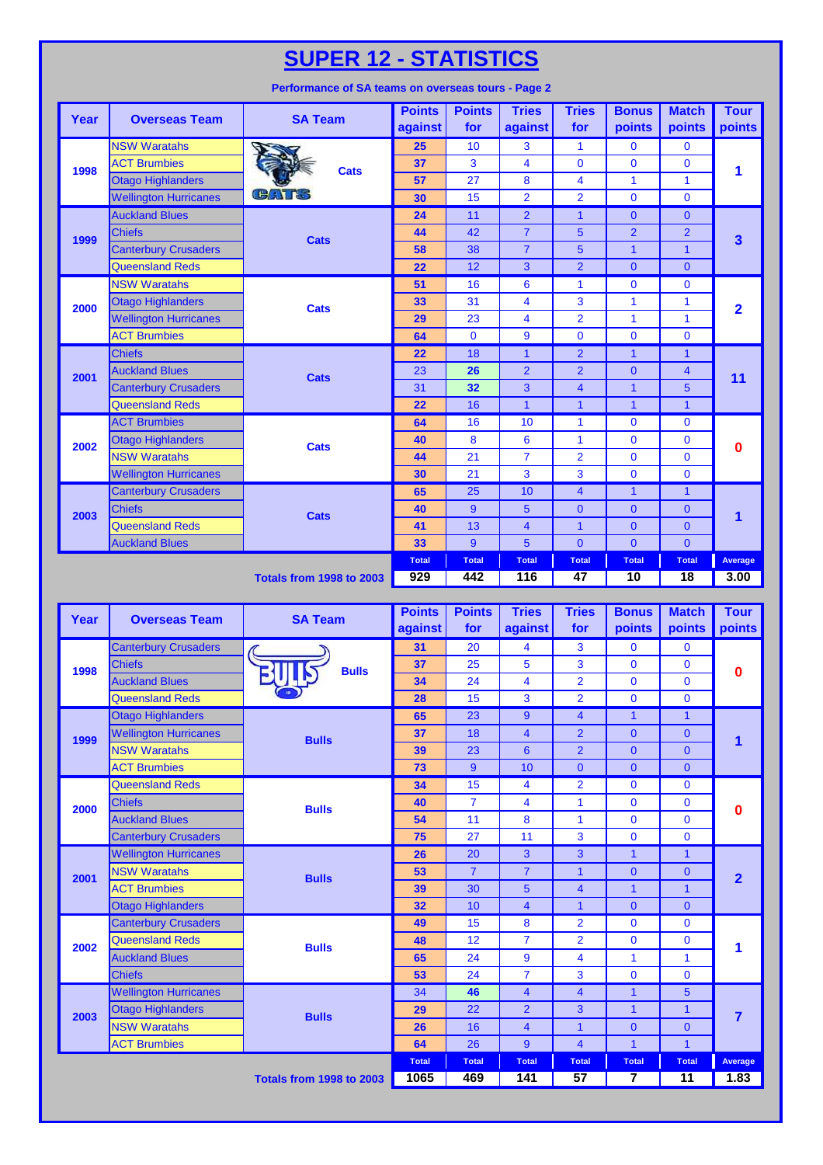| Year | <b>Overseas Team</b>         | <b>SA Team</b>                  | <b>Points</b><br>against | <b>Points</b><br>for | <b>Tries</b><br>against | <b>Tries</b><br>for | <b>Bonus</b><br>points | <b>Match</b><br><b>points</b> | <b>Tour</b><br>points   |
|------|------------------------------|---------------------------------|--------------------------|----------------------|-------------------------|---------------------|------------------------|-------------------------------|-------------------------|
|      | <b>NSW Waratahs</b>          |                                 | 25                       | 10                   | 3                       | 1                   | $\mathbf 0$            | $\mathbf 0$                   |                         |
| 1998 | <b>ACT Brumbies</b>          | <b>Cats</b>                     | 37                       | 3                    | $\overline{\mathbf{4}}$ | $\overline{0}$      | $\Omega$               | $\mathbf 0$                   | 1                       |
|      | <b>Otago Highlanders</b>     |                                 | 57                       | 27                   | 8                       | 4                   | $\mathbf{1}$           | 1                             |                         |
|      | <b>Wellington Hurricanes</b> |                                 | 30                       | 15                   | $\overline{2}$          | $\overline{2}$      | $\mathbf 0$            | $\Omega$                      |                         |
|      | <b>Auckland Blues</b>        |                                 | 24                       | 11                   | $\overline{2}$          | $\mathbf{1}$        | $\overline{0}$         | $\mathbf{0}$                  |                         |
| 1999 | <b>Chiefs</b>                | <b>Cats</b>                     | 44                       | 42                   | $\overline{7}$          | 5                   | $\overline{2}$         | $\overline{2}$                | $\overline{\mathbf{3}}$ |
|      | <b>Canterbury Crusaders</b>  |                                 | 58                       | 38                   | $\overline{7}$          | 5                   | $\overline{1}$         | 1                             |                         |
|      | <b>Queensland Reds</b>       |                                 | 22                       | 12                   | 3                       | $\overline{2}$      | $\mathbf{0}$           | $\mathbf{0}$                  |                         |
|      | <b>NSW Waratahs</b>          |                                 | 51                       | 16                   | 6                       | 1                   | $\mathbf{0}$           | $\mathbf 0$                   |                         |
| 2000 | <b>Otago Highlanders</b>     | <b>Cats</b>                     | 33                       | 31                   | 4                       | 3                   | 1                      | 1                             | $\overline{2}$          |
|      | <b>Wellington Hurricanes</b> |                                 | 29                       | 23                   | $\overline{\mathbf{4}}$ | $\overline{2}$      | $\overline{1}$         | 1                             |                         |
|      | <b>ACT Brumbies</b>          |                                 | 64                       | $\mathbf{0}$         | 9                       | $\overline{0}$      | $\mathbf{0}$           | $\mathbf 0$                   |                         |
|      | <b>Chiefs</b>                |                                 | 22                       | 18                   | 1                       | $\overline{2}$      | $\mathbf 1$            | 1                             | 11                      |
| 2001 | <b>Auckland Blues</b>        | <b>Cats</b>                     | 23                       | 26                   | $\overline{2}$          | $\overline{2}$      | $\mathbf{0}$           | 4                             |                         |
|      | <b>Canterbury Crusaders</b>  |                                 | 31                       | 32                   | 3                       | $\overline{4}$      | $\mathbf{1}$           | 5                             |                         |
|      | <b>Queensland Reds</b>       |                                 | 22                       | 16                   | $\mathbf{1}$            | $\mathbf{1}$        | $\overline{1}$         | $\mathbf{1}$                  |                         |
|      | <b>ACT Brumbies</b>          |                                 | 64                       | 16                   | 10                      | 1                   | $\mathbf 0$            | $\mathbf 0$                   |                         |
| 2002 | <b>Otago Highlanders</b>     | <b>Cats</b>                     | 40                       | 8                    | 6                       | 1                   | $\mathbf{0}$           | $\mathbf 0$                   | 0                       |
|      | <b>NSW Waratahs</b>          |                                 | 44                       | 21                   | $\overline{7}$          | $\overline{2}$      | $\overline{0}$         | $\mathbf 0$                   |                         |
|      | <b>Wellington Hurricanes</b> |                                 | 30                       | 21                   | 3                       | 3                   | $\overline{0}$         | $\mathbf{0}$                  |                         |
|      | <b>Canterbury Crusaders</b>  |                                 | 65                       | 25                   | 10                      | $\overline{4}$      | $\mathbf{1}$           | $\mathbf{1}$                  |                         |
| 2003 | <b>Chiefs</b>                | <b>Cats</b>                     | 40                       | 9                    | 5                       | $\overline{0}$      | $\mathbf{0}$           | $\mathbf{0}$                  | $\overline{\mathbf{1}}$ |
|      | <b>Queensland Reds</b>       |                                 | 41                       | 13                   | $\overline{\mathbf{4}}$ | $\overline{1}$      | $\overline{0}$         | $\mathbf{0}$                  |                         |
|      | <b>Auckland Blues</b>        |                                 | 33                       | 9                    | 5                       | $\overline{0}$      | $\overline{0}$         | $\mathbf{0}$                  |                         |
|      |                              |                                 | <b>Total</b>             | <b>Total</b>         | <b>Total</b>            | <b>Total</b>        | <b>Total</b>           | <b>Total</b>                  | Average                 |
|      |                              | <b>Totals from 1998 to 2003</b> | 929                      | 442                  | 116                     | 47                  | 10                     | $\overline{18}$               | 3.00                    |

| Performance of SA teams on overseas tours - Page 2 |  |  |  |  |
|----------------------------------------------------|--|--|--|--|
|                                                    |  |  |  |  |

| Year | <b>Overseas Team</b>         | <b>SA Team</b>                  | <b>Points</b><br>against | <b>Points</b><br>for | <b>Tries</b><br>against | <b>Tries</b><br>for     | <b>Bonus</b><br>points  | <b>Match</b><br>points | <b>Tour</b><br><b>points</b> |
|------|------------------------------|---------------------------------|--------------------------|----------------------|-------------------------|-------------------------|-------------------------|------------------------|------------------------------|
|      | <b>Canterbury Crusaders</b>  |                                 | 31                       | 20                   | 4                       | 3                       | $\mathbf{0}$            | $\mathbf 0$            |                              |
| 1998 | <b>Chiefs</b>                | <b>Bulls</b>                    | 37                       | 25                   | 5                       | 3                       | $\mathbf{0}$            | $\mathbf 0$            | $\bf{0}$                     |
|      | <b>Auckland Blues</b>        |                                 | 34                       | 24                   | 4                       | $\overline{2}$          | $\mathbf{0}$            | $\mathbf 0$            |                              |
|      | <b>Queensland Reds</b>       |                                 | 28                       | 15                   | 3                       | $\overline{2}$          | $\mathbf{0}$            | $\mathbf 0$            |                              |
|      | <b>Otago Highlanders</b>     |                                 | 65                       | 23                   | 9                       | $\overline{4}$          | $\mathbf{1}$            | $\mathbf{1}$           |                              |
| 1999 | <b>Wellington Hurricanes</b> | <b>Bulls</b>                    | 37                       | 18                   | $\overline{4}$          | $\overline{2}$          | $\mathbf{0}$            | $\mathbf{0}$           | 1                            |
|      | <b>NSW Waratahs</b>          |                                 | 39                       | 23                   | $6\phantom{1}$          | $\overline{2}$          | $\mathbf{0}$            | $\overline{0}$         |                              |
|      | <b>ACT Brumbies</b>          |                                 | 73                       | 9                    | 10                      | $\overline{0}$          | $\Omega$                | $\Omega$               |                              |
|      | <b>Queensland Reds</b>       |                                 | 34                       | 15                   | 4                       | $\overline{2}$          | $\mathbf{0}$            | $\mathbf 0$            |                              |
| 2000 | <b>Chiefs</b>                | <b>Bulls</b>                    | 40                       | $\overline{7}$       | 4                       | 1                       | $\mathbf{0}$            | $\mathbf 0$            | $\bf{0}$                     |
|      | <b>Auckland Blues</b>        |                                 | 54                       | 11                   | 8                       | $\overline{1}$          | $\mathbf{0}$            | $\Omega$               |                              |
|      | <b>Canterbury Crusaders</b>  |                                 | 75                       | 27                   | 11                      | 3                       | $\mathbf{0}$            | $\mathbf 0$            |                              |
|      | <b>Wellington Hurricanes</b> |                                 | 26                       | 20                   | 3                       | 3                       | 1                       | $\mathbf{1}$           | $\overline{2}$               |
| 2001 | <b>NSW Waratahs</b>          | <b>Bulls</b>                    | 53                       | $\overline{7}$       | $\overline{7}$          | $\overline{1}$          | $\mathbf{0}$            | $\mathbf{0}$           |                              |
|      | <b>ACT Brumbies</b>          |                                 | 39                       | 30                   | 5                       | $\overline{4}$          | $\mathbf{1}$            | $\mathbf{1}$           |                              |
|      | <b>Otago Highlanders</b>     |                                 | 32                       | 10                   | $\overline{4}$          | $\mathbf{1}$            | $\mathbf{0}$            | $\Omega$               |                              |
|      | <b>Canterbury Crusaders</b>  |                                 | 49                       | 15                   | 8                       | $\overline{2}$          | $\mathbf{0}$            | $\mathbf 0$            |                              |
| 2002 | <b>Queensland Reds</b>       | <b>Bulls</b>                    | 48                       | 12                   | $\overline{7}$          | $\overline{2}$          | $\mathbf{0}$            | $\mathbf 0$            | 1                            |
|      | <b>Auckland Blues</b>        |                                 | 65                       | 24                   | 9                       | $\overline{\mathbf{4}}$ | 1                       | 1                      |                              |
|      | <b>Chiefs</b>                |                                 | 53                       | 24                   | $\overline{7}$          | 3                       | $\mathbf{0}$            | $\Omega$               |                              |
|      | <b>Wellington Hurricanes</b> |                                 | 34                       | 46                   | $\overline{4}$          | $\overline{4}$          | $\mathbf{1}$            | 5                      |                              |
| 2003 | <b>Otago Highlanders</b>     | <b>Bulls</b>                    | 29                       | 22                   | $\overline{2}$          | 3                       | $\mathbf{1}$            | $\mathbf{1}$           | $\overline{7}$               |
|      | <b>NSW Waratahs</b>          |                                 | 26                       | 16                   | $\overline{4}$          | $\overline{1}$          | $\mathbf{0}$            | $\mathbf{0}$           |                              |
|      | <b>ACT Brumbies</b>          |                                 | 64                       | 26                   | 9                       | $\overline{4}$          | $\mathbf{1}$            | $\overline{1}$         |                              |
|      |                              |                                 | <b>Total</b>             | <b>Total</b>         | <b>Total</b>            | <b>Total</b>            | <b>Total</b>            | <b>Total</b>           | Average                      |
|      |                              | <b>Totals from 1998 to 2003</b> | 1065                     | 469                  | 141                     | 57                      | $\overline{\mathbf{7}}$ | $\overline{11}$        | 1.83                         |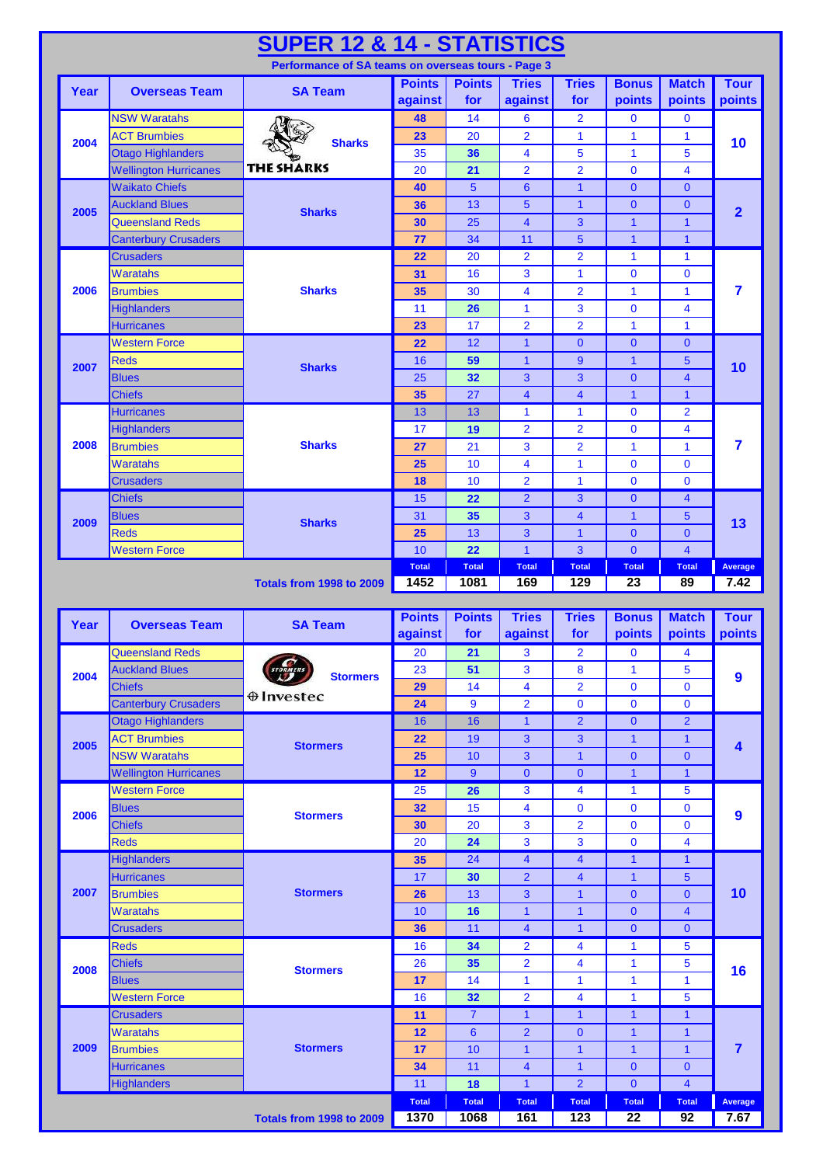|      |                                            | <b>SUPER 12 &amp; 14 - STATISTICS</b>              |               |                 |                                   |                         |                                |                                           |                         |
|------|--------------------------------------------|----------------------------------------------------|---------------|-----------------|-----------------------------------|-------------------------|--------------------------------|-------------------------------------------|-------------------------|
|      |                                            | Performance of SA teams on overseas tours - Page 3 |               |                 |                                   |                         |                                |                                           |                         |
| Year | <b>Overseas Team</b>                       | <b>SA Team</b>                                     | <b>Points</b> | <b>Points</b>   | <b>Tries</b>                      | <b>Tries</b>            | <b>Bonus</b>                   | <b>Match</b>                              | <b>Tour</b>             |
|      |                                            |                                                    | against       | for             | against                           | for                     | points                         | points                                    | points                  |
|      | <b>NSW Waratahs</b><br><b>ACT Brumbies</b> |                                                    | 48<br>23      | 14<br>20        | $6\phantom{1}6$<br>$\overline{2}$ | $\overline{2}$<br>1     | $\bf{0}$<br>1                  | $\mathbf 0$<br>1                          |                         |
| 2004 | <b>Otago Highlanders</b>                   | <b>Sharks</b>                                      | 35            | 36              | $\overline{\mathbf{4}}$           | 5                       | $\mathbf{1}$                   | 5                                         | 10                      |
|      | <b>Wellington Hurricanes</b>               | <b>THE SHARKS</b>                                  | 20            | 21              | $\overline{2}$                    | $\overline{2}$          | $\bf{0}$                       | $\overline{4}$                            |                         |
|      | <b>Waikato Chiefs</b>                      |                                                    | 40            | 5               | $6\phantom{1}6$                   | $\mathbf{1}$            | $\mathbf{0}$                   | $\mathbf 0$                               |                         |
|      | <b>Auckland Blues</b>                      |                                                    | 36            | 13              | $5\phantom{1}$                    | $\mathbf{1}$            | $\mathbf{0}$                   | $\mathbf{0}$                              |                         |
| 2005 | <b>Queensland Reds</b>                     | <b>Sharks</b>                                      | 30            | 25              | $\overline{4}$                    | 3                       | $\mathbf{1}$                   | 1                                         | $\overline{2}$          |
|      | <b>Canterbury Crusaders</b>                |                                                    | 77            | 34              | 11                                | 5                       | $\mathbf{1}$                   | $\overline{1}$                            |                         |
|      | <b>Crusaders</b>                           |                                                    | 22            | 20              | $\overline{2}$                    | $\overline{2}$          | $\mathbf{1}$                   | 1                                         |                         |
|      | Waratahs                                   | <b>Sharks</b>                                      | 31            | 16              | 3                                 | 1                       | $\bf{0}$                       | 0                                         |                         |
| 2006 | <b>Brumbies</b>                            |                                                    | 35            | 30              | $\overline{4}$                    | $\overline{\mathbf{2}}$ | $\mathbf{1}$                   | 1                                         | 7                       |
|      | <b>Highlanders</b>                         |                                                    | 11            | 26              | $\mathbf{1}$                      | 3                       | $\overline{0}$                 | 4                                         |                         |
|      | <b>Hurricanes</b>                          |                                                    | 23            | 17              | $\overline{2}$                    | $\overline{2}$          | $\mathbf{1}$                   | 1                                         |                         |
|      | <b>Western Force</b>                       |                                                    | 22            | 12              | $\mathbf{1}$                      | $\mathbf{0}$            | $\mathbf{0}$                   | $\mathbf{0}$                              |                         |
| 2007 | <b>Reds</b>                                | <b>Sharks</b>                                      | 16            | 59              | $\mathbf{1}$                      | $\overline{9}$          | $\mathbf{1}$                   | 5                                         | 10                      |
|      | <b>Blues</b>                               |                                                    | 25            | 32              | 3                                 | 3                       | $\mathbf{0}$                   | $\overline{4}$                            |                         |
|      | <b>Chiefs</b>                              |                                                    | 35            | 27              | $\overline{4}$                    | $\overline{\mathbf{4}}$ | $\mathbf{1}$                   | $\mathbf{1}$                              |                         |
|      | <b>Hurricanes</b>                          |                                                    | 13            | 13              | $\mathbf{1}$                      | 1                       | $\mathbf 0$                    | $\overline{2}$                            |                         |
|      | <b>Highlanders</b>                         |                                                    | 17            | 19              | $\overline{2}$                    | $\overline{2}$          | $\bf{0}$                       | 4                                         |                         |
| 2008 | <b>Brumbies</b>                            | <b>Sharks</b>                                      | 27            | 21              | 3                                 | $\overline{2}$          | 1                              | 1                                         | 7                       |
|      | <b>Waratahs</b>                            |                                                    | 25            | 10              | $\overline{\mathbf{4}}$           | 1                       | $\bf{0}$                       | $\mathbf 0$                               |                         |
|      | <b>Crusaders</b>                           |                                                    | 18            | 10              | $\overline{2}$                    | 1                       | $\mathbf 0$                    | $\mathbf 0$                               |                         |
|      | <b>Chiefs</b>                              |                                                    | 15            | 22              | $\overline{2}$                    | 3                       | $\mathbf{0}$                   | $\overline{\mathbf{4}}$                   |                         |
| 2009 | <b>Blues</b>                               | <b>Sharks</b>                                      | 31            | 35              | 3                                 | $\overline{\mathbf{4}}$ | $\mathbf{1}$                   | 5                                         | 13                      |
|      | <b>Reds</b>                                |                                                    | 25            | 13              | 3                                 | $\mathbf{1}$            | $\overline{0}$                 | $\mathbf{0}$                              |                         |
|      | <b>Western Force</b>                       |                                                    | 10            | 22              | $\overline{1}$                    | $\overline{3}$          | $\overline{0}$                 | $\overline{4}$                            |                         |
|      |                                            |                                                    | <b>Total</b>  | <b>Total</b>    | <b>Total</b>                      | <b>Total</b>            | <b>Total</b>                   | <b>Total</b>                              | Average<br>7.42         |
|      |                                            | <b>Totals from 1998 to 2009</b>                    | 1452          | 1081            | 169                               | 129                     | 23                             | 89                                        |                         |
|      |                                            |                                                    |               |                 |                                   |                         |                                |                                           |                         |
|      |                                            |                                                    | <b>Points</b> | <b>Points</b>   | <b>Tries</b>                      | <b>Tries</b>            | <b>Bonus</b>                   | <b>Match</b>                              | <b>Tour</b>             |
| Year | <b>Overseas Team</b>                       | <b>SA Team</b>                                     | against       | for             | against                           | for                     | points                         | points                                    | points                  |
|      | Queensland Reds                            |                                                    |               | 20 21           | $\overline{3}$                    | $\overline{2}$          | $\overline{\mathbf{0}}$        | $\overline{\mathbf{4}}$                   |                         |
| 2004 | <b>Auckland Blues</b>                      | <b>Stormers</b>                                    | 23            | 51              | 3                                 | 8                       | $\mathbf{1}$                   | 5                                         |                         |
|      | <b>Chiefs</b>                              |                                                    | 29            | 14              | $\overline{\mathbf{4}}$           | $\overline{2}$          | $\mathbf 0$                    | $\mathbf 0$                               | $\boldsymbol{9}$        |
|      | <b>Canterbury Crusaders</b>                | $\oplus$ Investec                                  | 24            | $\overline{9}$  | $\overline{2}$                    | $\bf{0}$                | $\mathbf 0$                    | $\mathbf 0$                               |                         |
|      | <b>Otago Highlanders</b>                   |                                                    | 16            | 16              | $\mathbf{1}$                      | $\overline{2}$          | $\mathbf{0}$                   | $\overline{2}$                            |                         |
| 2005 | <b>ACT Brumbies</b>                        | <b>Stormers</b>                                    | 22            | 19              | $\overline{3}$                    | 3                       | $\mathbf{1}$                   | 1                                         | $\overline{\mathbf{4}}$ |
|      | <b>NSW Waratahs</b>                        |                                                    | 25            | 10              | 3                                 | $\mathbf{1}$            | $\mathbf{0}$                   | $\mathbf 0$                               |                         |
|      | <b>Wellington Hurricanes</b>               |                                                    | 12            | $9\,$           | $\mathbf 0$                       | $\overline{0}$          | $\mathbf{1}$                   | $\overline{\mathbf{1}}$                   |                         |
|      | <b>Western Force</b>                       |                                                    | 25            | $\overline{26}$ | 3                                 | $\overline{\mathbf{4}}$ | 1                              | $\overline{5}$                            |                         |
| 2006 | <b>Blues</b>                               | <b>Stormers</b>                                    | 32            | 15              | $\overline{4}$                    | $\bf{0}$                | $\mathbf 0$                    | $\mathbf 0$                               | $\boldsymbol{9}$        |
|      | <b>Chiefs</b>                              |                                                    | 30            | 20              | $\mathbf{3}$                      | $\overline{2}$          | $\mathbf 0$                    | $\mathbf 0$                               |                         |
|      | <b>Reds</b>                                |                                                    | 20            | 24              | $\overline{3}$                    | 3                       | $\mathbf 0$                    | $\overline{\mathbf{4}}$                   |                         |
|      | <b>Highlanders</b>                         |                                                    | 35            | 24              | $\overline{4}$                    | $\overline{\mathbf{4}}$ | $\mathbf{1}$                   | $\mathbf{1}$                              |                         |
|      | <b>Hurricanes</b>                          |                                                    | 17            | 30              | $\overline{2}$                    | $\overline{\mathbf{4}}$ | $\mathbf{1}$                   | 5                                         |                         |
| 2007 | <b>Brumbies</b>                            | <b>Stormers</b>                                    | 26            | 13              | 3                                 | $\mathbf{1}$            | $\overline{0}$                 | $\mathbf{0}$                              | 10                      |
|      | Waratahs                                   |                                                    | 10            | 16              | $\mathbf{1}$                      | $\mathbf{1}$            | $\overline{0}$<br>$\mathbf{0}$ | $\overline{\mathbf{4}}$<br>$\overline{0}$ |                         |
|      | <b>Crusaders</b><br><b>Reds</b>            |                                                    | 36            | 11              | $\overline{\mathbf{4}}$           | $\mathbf{1}$            | $\mathbf{1}$                   |                                           |                         |
|      |                                            |                                                    | 16            | 34              | $\overline{2}$                    | 4<br>4                  | $\mathbf{1}$                   | $\overline{5}$<br>5                       |                         |
| 2008 | <b>Chiefs</b><br><b>Blues</b>              | <b>Stormers</b>                                    | 26<br>17      | 35<br>14        | $\overline{2}$<br>$\mathbf{1}$    | 1                       | $\mathbf{1}$                   | 1                                         | 16                      |
|      | <b>Western Force</b>                       |                                                    | 16            | 32              | $\overline{2}$                    | 4                       | $\mathbf{1}$                   | 5                                         |                         |
|      | <b>Crusaders</b>                           |                                                    | 11            | $\overline{7}$  | $\mathbf{1}$                      | $\mathbf{1}$            | $\mathbf{1}$                   | 1                                         |                         |
|      | Waratahs                                   |                                                    | 12            | $6 \,$          | $\overline{2}$                    | $\mathbf 0$             | $\mathbf{1}$                   | $\mathbf{1}$                              |                         |
| 2009 | <b>Brumbies</b>                            | <b>Stormers</b>                                    | 17            | 10              | $\mathbf{1}$                      | $\mathbf{1}$            | $\mathbf{1}$                   | $\mathbf{1}$                              | $\overline{7}$          |
|      | <b>Hurricanes</b>                          |                                                    | 34            | 11              | $\overline{4}$                    | $\mathbf{1}$            | $\pmb{0}$                      | $\mathbf 0$                               |                         |
|      | <b>Highlanders</b>                         |                                                    | 11            | 18              | $\mathbf{1}$                      | $\overline{2}$          | $\overline{0}$                 | $\overline{\mathbf{4}}$                   |                         |
|      |                                            |                                                    | <b>Total</b>  | <b>Total</b>    | <b>Total</b>                      | <b>Total</b>            | <b>Total</b>                   | <b>Total</b>                              | Average                 |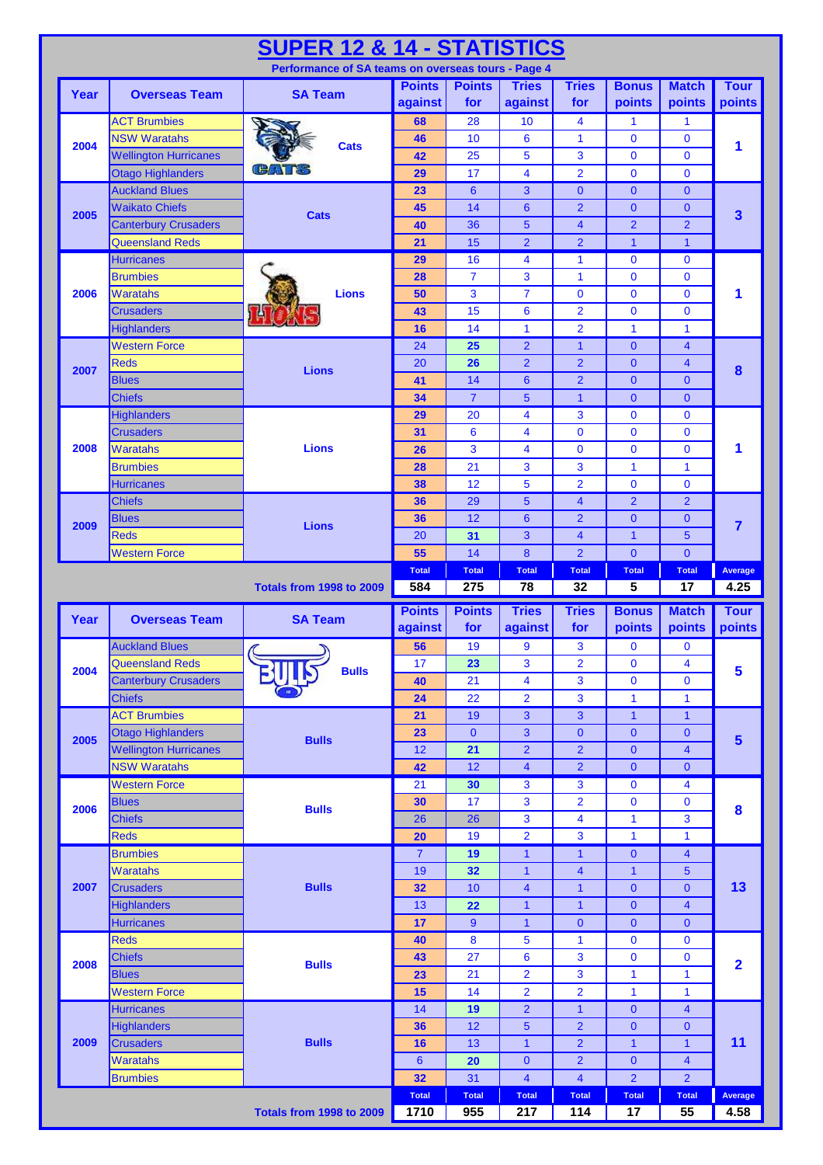|      |                              | <b>SUPER 12 &amp; 14 - STATISTICS</b>                                                                                                                                                                                                                                                                                                                                                                                              |                      |                     |                         |                         |                                 |                         |                         |
|------|------------------------------|------------------------------------------------------------------------------------------------------------------------------------------------------------------------------------------------------------------------------------------------------------------------------------------------------------------------------------------------------------------------------------------------------------------------------------|----------------------|---------------------|-------------------------|-------------------------|---------------------------------|-------------------------|-------------------------|
|      |                              |                                                                                                                                                                                                                                                                                                                                                                                                                                    |                      |                     |                         |                         |                                 |                         |                         |
| Year | <b>Overseas Team</b>         |                                                                                                                                                                                                                                                                                                                                                                                                                                    | <b>Points</b>        | <b>Points</b>       | <b>Tries</b>            | <b>Tries</b>            | <b>Bonus</b>                    | <b>Match</b>            | <b>Tour</b>             |
|      |                              |                                                                                                                                                                                                                                                                                                                                                                                                                                    | against              | for                 | against                 | for                     | points                          | points                  | points                  |
|      | <b>ACT Brumbies</b>          |                                                                                                                                                                                                                                                                                                                                                                                                                                    | 68                   | $\overline{28}$     | 10                      | $\overline{\mathbf{4}}$ | $\mathbf{1}$                    | $\mathbf{1}$            |                         |
| 2004 | <b>NSW Waratahs</b>          |                                                                                                                                                                                                                                                                                                                                                                                                                                    | 46                   | 10                  | 6                       | $\mathbf{1}$            | $\mathbf 0$                     | $\mathbf{0}$            | 1                       |
|      | <b>Wellington Hurricanes</b> |                                                                                                                                                                                                                                                                                                                                                                                                                                    | 42                   | 25                  | 5                       | 3                       | $\overline{0}$                  | $\mathbf{0}$            |                         |
|      | <b>Otago Highlanders</b>     |                                                                                                                                                                                                                                                                                                                                                                                                                                    | 29                   | 17                  | $\overline{\mathbf{4}}$ | $\overline{2}$          | $\mathbf 0$                     | $\mathbf{0}$            |                         |
|      | <b>Auckland Blues</b>        |                                                                                                                                                                                                                                                                                                                                                                                                                                    | 23                   | $6\phantom{1}6$     | 3                       | $\mathbf{0}$            | $\mathbf{0}$                    | $\mathbf{0}$            |                         |
| 2005 | <b>Waikato Chiefs</b>        |                                                                                                                                                                                                                                                                                                                                                                                                                                    | 45                   | 14                  | $6\phantom{1}$          | $\overline{2}$          | $\mathbf{0}$                    | $\mathbf{0}$            | 3                       |
|      | <b>Canterbury Crusaders</b>  |                                                                                                                                                                                                                                                                                                                                                                                                                                    | 40                   | 36                  | 5                       | $\overline{\mathbf{4}}$ | $\overline{2}$                  | $\overline{2}$          |                         |
|      | <b>Queensland Reds</b>       |                                                                                                                                                                                                                                                                                                                                                                                                                                    | 21                   | 15                  | $\overline{2}$          | $\overline{2}$          | $\mathbf{1}$                    | $\mathbf{1}$            |                         |
|      | <b>Hurricanes</b>            |                                                                                                                                                                                                                                                                                                                                                                                                                                    | 29                   | 16                  | $\overline{\mathbf{4}}$ | $\mathbf{1}$            | $\bf{0}$                        | $\mathbf 0$             |                         |
|      | <b>Brumbies</b>              | <b>Lions</b>                                                                                                                                                                                                                                                                                                                                                                                                                       | 28                   |                     | 3                       | $\mathbf{1}$            | $\bf{0}$                        | $\mathbf{0}$            |                         |
| 2006 | <b>Waratahs</b>              |                                                                                                                                                                                                                                                                                                                                                                                                                                    | 50                   | 3                   | $\overline{7}$          | $\mathbf 0$             | $\mathbf{0}$                    | $\mathbf 0$             | 1                       |
|      | <b>Crusaders</b>             |                                                                                                                                                                                                                                                                                                                                                                                                                                    | 43                   |                     | 6                       | $\overline{2}$          | $\mathbf 0$                     | $\mathbf 0$             |                         |
|      | <b>Highlanders</b>           |                                                                                                                                                                                                                                                                                                                                                                                                                                    | 16                   | 14                  | 1                       | $\overline{2}$          | $\mathbf{1}$                    | $\mathbf{1}$            |                         |
|      | <b>Western Force</b>         |                                                                                                                                                                                                                                                                                                                                                                                                                                    | 24                   | 25                  | $\overline{2}$          | $\mathbf{1}$            | $\mathbf{0}$                    | $\overline{4}$          |                         |
| 2007 | <b>Reds</b>                  |                                                                                                                                                                                                                                                                                                                                                                                                                                    | 20                   | 26                  | $\overline{2}$          | $\overline{2}$          | $\overline{0}$                  | $\overline{4}$          | 8                       |
|      | <b>Blues</b>                 |                                                                                                                                                                                                                                                                                                                                                                                                                                    | 41                   | 14                  | $6\phantom{1}$          | $\overline{2}$          | $\mathbf{0}$                    | $\mathbf{0}$            |                         |
|      | <b>Chiefs</b>                |                                                                                                                                                                                                                                                                                                                                                                                                                                    | 34                   | $\overline{7}$      | 5                       | $\mathbf{1}$            | $\mathbf{0}$                    | $\mathbf{0}$            |                         |
|      | <b>Highlanders</b>           |                                                                                                                                                                                                                                                                                                                                                                                                                                    | 29                   | 20                  | 4                       | 3                       | 0                               | $\mathbf 0$             |                         |
|      | <b>Crusaders</b>             |                                                                                                                                                                                                                                                                                                                                                                                                                                    | 31                   | 6                   | 4                       | $\bf{0}$                | $\bf{0}$                        | $\mathbf{0}$            |                         |
| 2008 | <b>Waratahs</b>              | <b>Lions</b>                                                                                                                                                                                                                                                                                                                                                                                                                       | 26                   | 3                   | 4                       | $\bf{0}$                | $\bf{0}$                        | $\mathbf 0$             | 1                       |
|      | <b>Brumbies</b>              |                                                                                                                                                                                                                                                                                                                                                                                                                                    | 28                   | 21                  | 3                       | 3                       | $\mathbf{1}$                    | 1                       |                         |
|      | <b>Hurricanes</b>            |                                                                                                                                                                                                                                                                                                                                                                                                                                    | 38                   | 12                  | 5                       | $\overline{2}$          | $\mathbf 0$                     | $\mathbf{0}$            |                         |
|      | <b>Chiefs</b>                |                                                                                                                                                                                                                                                                                                                                                                                                                                    | 36                   | 29                  | $5\phantom{1}$          | $\overline{\mathbf{4}}$ | $\overline{2}$                  | $\overline{2}$          |                         |
| 2009 | <b>Blues</b>                 |                                                                                                                                                                                                                                                                                                                                                                                                                                    | 36                   | 12                  | $6\phantom{1}6$         | $\overline{2}$          | $\mathbf{0}$                    | $\mathbf{0}$            | $\overline{7}$          |
|      | <b>Reds</b>                  |                                                                                                                                                                                                                                                                                                                                                                                                                                    | 20                   | 31                  | 3                       | 4                       | $\mathbf{1}$                    | 5                       |                         |
|      | <b>Western Force</b>         |                                                                                                                                                                                                                                                                                                                                                                                                                                    | 55                   | 14                  | 8                       | $\overline{2}$          | $\mathbf{0}$                    | $\mathbf{0}$            |                         |
|      |                              |                                                                                                                                                                                                                                                                                                                                                                                                                                    | <b>Total</b>         | <b>Total</b>        | <b>Total</b>            | <b>Total</b>            | <b>Total</b>                    | <b>Total</b>            | Average                 |
|      |                              | <b>Totals from 1998 to 2009</b>                                                                                                                                                                                                                                                                                                                                                                                                    |                      |                     | 78                      | 32                      | 5                               | 17                      | 4.25                    |
|      |                              |                                                                                                                                                                                                                                                                                                                                                                                                                                    |                      |                     |                         |                         |                                 |                         |                         |
| Year | <b>Overseas Team</b>         | <b>SA Team</b>                                                                                                                                                                                                                                                                                                                                                                                                                     | <b>Points</b>        | <b>Points</b>       | <b>Tries</b>            | <b>Tries</b>            | <b>Bonus</b>                    | <b>Match</b>            | <b>Tour</b>             |
|      |                              |                                                                                                                                                                                                                                                                                                                                                                                                                                    | against              | for                 | against                 | for                     | points                          | points                  | points                  |
|      | <b>Auckland Blues</b>        | $\mathcal{C}_{\mathcal{C}}$<br>J)                                                                                                                                                                                                                                                                                                                                                                                                  | 56                   | 19                  | 9                       | 3                       | $\mathbf{0}$                    | $\mathbf{0}$            |                         |
| 2004 | <b>Queensland Reds</b>       | <b>Bulls</b>                                                                                                                                                                                                                                                                                                                                                                                                                       | 17                   | 23                  | 3                       | $\overline{\mathbf{2}}$ | $\bf{0}$                        | 4                       | 5                       |
|      | <b>Canterbury Crusaders</b>  |                                                                                                                                                                                                                                                                                                                                                                                                                                    | 40                   | 21                  | 4                       | 3                       | 0                               | $\mathbf 0$             |                         |
|      | <b>Chiefs</b>                |                                                                                                                                                                                                                                                                                                                                                                                                                                    | 24                   | 22                  | $\overline{2}$          | 3                       | $\mathbf{1}$                    | $\mathbf{1}$            |                         |
|      | <b>ACT Brumbies</b>          |                                                                                                                                                                                                                                                                                                                                                                                                                                    | 21                   | 19                  | 3                       | 3                       | $\mathbf{1}$                    | $\mathbf{1}$            |                         |
| 2005 | <b>Otago Highlanders</b>     | <b>Bulls</b>                                                                                                                                                                                                                                                                                                                                                                                                                       | 23                   | $\mathbf{0}$        | 3                       | $\overline{0}$          | $\overline{0}$                  | $\mathbf{0}$            | $5\overline{)}$         |
|      | <b>Wellington Hurricanes</b> |                                                                                                                                                                                                                                                                                                                                                                                                                                    | 12                   | 21                  | $\overline{2}$          | $\overline{2}$          | $\overline{0}$                  | $\overline{\mathbf{4}}$ |                         |
|      | <b>NSW Waratahs</b>          | Performance of SA teams on overseas tours - Page 4<br><b>SA Team</b><br><b>Cats</b><br>n Brand<br><b>Cats</b><br>$\overline{7}$<br>15<br><b>Lions</b><br><b>Lions</b><br>584<br>275<br>12<br>42<br>21<br>30<br>17<br>30<br><b>Bulls</b><br>26<br>26<br>20<br>19<br>$\overline{7}$<br>19<br>32<br>19<br><b>Bulls</b><br>32<br>10<br>22<br>13<br>$\overline{9}$<br>17<br>8<br>40<br>27<br>43<br><b>Bulls</b><br>21<br>23<br>14<br>15 |                      | $\overline{4}$      | $\overline{2}$          | $\overline{0}$          | $\overline{0}$                  |                         |                         |
|      | <b>Western Force</b>         |                                                                                                                                                                                                                                                                                                                                                                                                                                    |                      |                     | 3                       | 3                       | $\bf{0}$                        | $\overline{\mathbf{4}}$ |                         |
| 2006 | <b>Blues</b>                 |                                                                                                                                                                                                                                                                                                                                                                                                                                    |                      |                     | 3                       | $\overline{2}$          | $\mathbf 0$                     | $\mathbf 0$             | $\bf{8}$                |
|      | <b>Chiefs</b>                |                                                                                                                                                                                                                                                                                                                                                                                                                                    |                      |                     | 3                       | 4                       | $\mathbf{1}$                    | 3                       |                         |
|      | <b>Reds</b>                  |                                                                                                                                                                                                                                                                                                                                                                                                                                    |                      |                     | $\overline{2}$          | 3                       | $\overline{1}$                  | $\mathbf{1}$            |                         |
|      | <b>Brumbies</b>              |                                                                                                                                                                                                                                                                                                                                                                                                                                    |                      |                     | $\mathbf{1}$            | $\mathbf{1}$            | $\overline{0}$                  | $\overline{\mathbf{4}}$ |                         |
|      | <b>Waratahs</b>              |                                                                                                                                                                                                                                                                                                                                                                                                                                    |                      |                     | $\mathbf{1}$            | 4                       | $\mathbf{1}$                    | 5                       |                         |
| 2007 | <b>Crusaders</b>             |                                                                                                                                                                                                                                                                                                                                                                                                                                    |                      |                     | $\overline{\mathbf{4}}$ | $\mathbf{1}$            | $\overline{0}$                  | $\mathbf{0}$            | 13                      |
|      | <b>Highlanders</b>           |                                                                                                                                                                                                                                                                                                                                                                                                                                    |                      |                     | $\mathbf{1}$            | $\mathbf{1}$            | $\mathbf 0$                     | $\overline{\mathbf{4}}$ |                         |
|      | Hurricanes                   |                                                                                                                                                                                                                                                                                                                                                                                                                                    |                      |                     | $\mathbf{1}$            | $\mathbf{0}$            | $\overline{0}$                  | $\mathbf{0}$            |                         |
|      | <b>Reds</b>                  |                                                                                                                                                                                                                                                                                                                                                                                                                                    |                      |                     | 5                       | 1                       | $\bf{0}$                        | $\pmb{0}$               |                         |
| 2008 | <b>Chiefs</b>                |                                                                                                                                                                                                                                                                                                                                                                                                                                    |                      |                     | $6\phantom{1}6$         | 3                       | $\mathbf 0$                     | $\mathbf 0$             | $\overline{\mathbf{2}}$ |
|      | <b>Blues</b>                 |                                                                                                                                                                                                                                                                                                                                                                                                                                    |                      |                     | $\overline{2}$          | 3                       | $\mathbf{1}$                    | 1                       |                         |
|      | <b>Western Force</b>         |                                                                                                                                                                                                                                                                                                                                                                                                                                    |                      |                     | $\overline{2}$          | $\overline{2}$          | $\mathbf{1}$                    | $\mathbf{1}$            |                         |
|      | <b>Hurricanes</b>            |                                                                                                                                                                                                                                                                                                                                                                                                                                    | 14                   | 19                  | $\overline{2}$          | $\mathbf{1}$            | $\mathbf{0}$                    | 4                       |                         |
|      | <b>Highlanders</b>           |                                                                                                                                                                                                                                                                                                                                                                                                                                    | 36                   | 12                  | 5                       | $\overline{2}$          | $\mathbf{0}$                    | $\mathbf{0}$            |                         |
| 2009 | <b>Crusaders</b>             | <b>Bulls</b>                                                                                                                                                                                                                                                                                                                                                                                                                       | 16                   | 13                  | $\mathbf{1}$            | $\overline{2}$          | $\overline{1}$                  | $\mathbf{1}$            | 11                      |
|      | <b>Waratahs</b>              |                                                                                                                                                                                                                                                                                                                                                                                                                                    | $6\phantom{1}6$      | 20                  | $\mathbf{0}$            | $\overline{2}$          | $\overline{0}$                  | $\overline{\mathbf{4}}$ |                         |
|      | <b>Brumbies</b>              |                                                                                                                                                                                                                                                                                                                                                                                                                                    | 32                   | 31                  | $\overline{\mathbf{4}}$ | $\overline{4}$          | $\overline{2}$                  | $\overline{2}$          |                         |
|      |                              | Totals from 1998 to 2009                                                                                                                                                                                                                                                                                                                                                                                                           | <b>Total</b><br>1710 | <b>Total</b><br>955 | <b>Total</b><br>217     | <b>Total</b><br>114     | <b>Total</b><br>$\overline{17}$ | <b>Total</b><br>55      | Average<br>4.58         |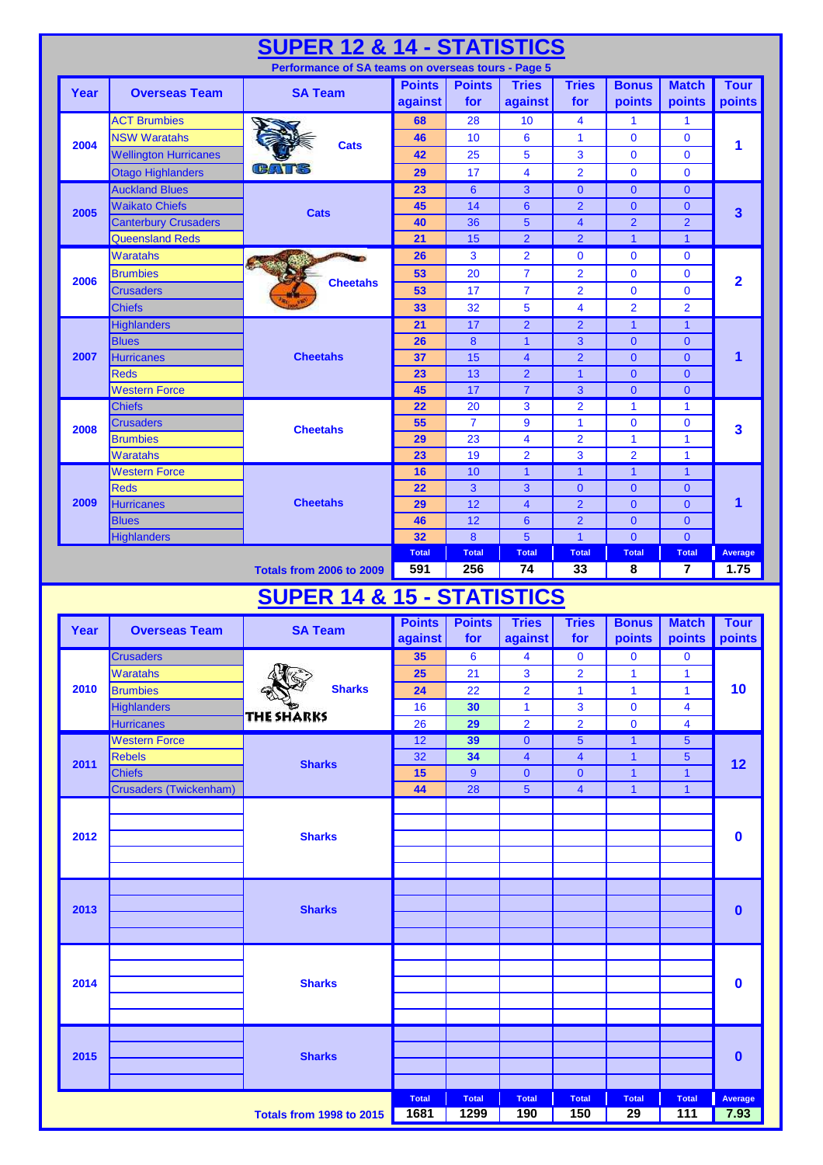|      |                                   | <b>SUPER 12 &amp; 14 - STATISTICS</b>              |                          |                      |                         |                                           |                                |                               |                         |
|------|-----------------------------------|----------------------------------------------------|--------------------------|----------------------|-------------------------|-------------------------------------------|--------------------------------|-------------------------------|-------------------------|
|      |                                   | Performance of SA teams on overseas tours - Page 5 |                          |                      |                         |                                           |                                |                               |                         |
| Year | <b>Overseas Team</b>              | <b>SA Team</b>                                     | <b>Points</b><br>against | <b>Points</b><br>for | <b>Tries</b><br>against | <b>Tries</b><br>for                       | <b>Bonus</b><br>points         | <b>Match</b><br>points        | <b>Tour</b><br>points   |
|      | <b>ACT Brumbies</b>               |                                                    | 68                       | 28                   | 10                      | $\overline{\mathbf{4}}$                   | 1                              | 1                             |                         |
|      | <b>NSW Waratahs</b>               |                                                    | 46                       | 10                   | 6                       | $\mathbf{1}$                              | $\mathbf{0}$                   | $\mathbf{0}$                  |                         |
| 2004 | <b>Wellington Hurricanes</b>      | <b>Cats</b>                                        | 42                       | 25                   | 5                       | 3                                         | $\mathbf 0$                    | $\mathbf 0$                   | 1                       |
|      | <b>Otago Highlanders</b>          | H                                                  | 29                       | 17                   | 4                       | $\overline{2}$                            | $\mathbf{0}$                   | $\mathbf 0$                   |                         |
|      | <b>Auckland Blues</b>             |                                                    | 23                       | $6\phantom{a}$       | 3                       | $\mathbf{0}$                              | $\overline{0}$                 | $\mathbf{0}$                  |                         |
| 2005 | <b>Waikato Chiefs</b>             | <b>Cats</b>                                        | 45                       | 14                   | $6\phantom{1}$          | $\overline{2}$                            | $\overline{0}$                 | $\mathbf{0}$                  | $\overline{\mathbf{3}}$ |
|      | <b>Canterbury Crusaders</b>       |                                                    | 40                       | 36                   | 5                       | $\overline{\mathbf{4}}$                   | $\overline{2}$                 | $\overline{2}$                |                         |
|      | <b>Queensland Reds</b>            |                                                    | 21                       | 15                   | $\overline{2}$          | $\overline{2}$                            | $\overline{1}$                 | $\mathbf{1}$                  |                         |
|      | <b>Waratahs</b>                   | <b>CONSTRUCTION</b>                                | 26                       | 3                    | $\overline{2}$          | $\bf{0}$                                  | $\mathbf{0}$                   | $\mathbf 0$                   |                         |
| 2006 | <b>Brumbies</b>                   | <b>Cheetahs</b>                                    | 53                       | 20                   | $\overline{7}$          | $\overline{2}$                            | $\mathbf{0}$                   | $\mathbf 0$                   | $\overline{\mathbf{2}}$ |
|      | <b>Crusaders</b><br><b>Chiefs</b> |                                                    | 53<br>33                 | 17<br>32             | $\overline{7}$<br>5     | $\overline{2}$<br>$\overline{\mathbf{4}}$ | $\mathbf 0$<br>$\overline{2}$  | $\mathbf 0$<br>$\overline{2}$ |                         |
|      | <b>Highlanders</b>                |                                                    | 21                       | $\overline{17}$      | $\overline{2}$          | $\overline{2}$                            | $\overline{1}$                 | $\mathbf{1}$                  |                         |
|      | <b>Blues</b>                      |                                                    | 26                       | 8                    | $\mathbf{1}$            | 3                                         | $\overline{0}$                 | $\mathbf{0}$                  |                         |
| 2007 | <b>Hurricanes</b>                 | <b>Cheetahs</b>                                    | 37                       | 15                   | $\overline{\mathbf{4}}$ | $\overline{2}$                            | $\overline{0}$                 | $\mathbf{0}$                  | 1                       |
|      | <b>Reds</b>                       |                                                    | 23                       | 13                   | $\overline{2}$          | $\mathbf{1}$                              | $\mathbf{0}$                   | $\mathbf{0}$                  |                         |
|      | <b>Western Force</b>              |                                                    | 45                       | 17                   | $\overline{7}$          | 3                                         | $\Omega$                       | $\mathbf{0}$                  |                         |
|      | <b>Chiefs</b>                     |                                                    | 22                       | 20                   | 3                       | $\overline{2}$                            | $\mathbf{1}$                   | $\mathbf{1}$                  |                         |
| 2008 | <b>Crusaders</b>                  | <b>Cheetahs</b>                                    | 55                       | $\overline{7}$       | 9                       | $\mathbf{1}$                              | $\mathbf{0}$                   | $\mathbf 0$                   | 3                       |
|      | <b>Brumbies</b>                   |                                                    | 29                       | 23                   | 4                       | $\overline{2}$                            | $\overline{1}$                 | 1                             |                         |
|      | <b>Waratahs</b>                   |                                                    | 23                       | 19                   | $\overline{2}$          | 3                                         | $\overline{2}$                 | 1                             |                         |
|      | <b>Western Force</b>              |                                                    | 16                       | 10                   | $\mathbf{1}$            | $\mathbf{1}$                              | $\overline{1}$                 | $\mathbf{1}$                  |                         |
| 2009 | <b>Reds</b>                       | <b>Cheetahs</b>                                    | 22                       | 3<br>12              | 3<br>$\overline{4}$     | $\mathbf{0}$<br>$\overline{2}$            | $\mathbf{0}$                   | $\mathbf{0}$                  | 1                       |
|      | <b>Hurricanes</b><br><b>Blues</b> |                                                    | 29<br>46                 | 12                   | $6\phantom{1}6$         | $\overline{2}$                            | $\overline{0}$<br>$\mathbf{0}$ | $\mathbf{0}$<br>$\mathbf{0}$  |                         |
|      | <b>Highlanders</b>                |                                                    | 32                       | $\boldsymbol{8}$     | 5                       | $\overline{1}$                            | $\mathbf{0}$                   | $\mathbf{0}$                  |                         |
|      |                                   |                                                    | <b>Total</b>             | <b>Total</b>         | <b>Total</b>            | <b>Total</b>                              | <b>Total</b>                   | <b>Total</b>                  | Average                 |
|      |                                   | <b>Totals from 2006 to 2009</b>                    | 591                      | 256                  | 74                      | 33                                        | 8                              | 7                             | 1.75                    |
|      |                                   |                                                    |                          |                      |                         |                                           |                                |                               |                         |
|      |                                   |                                                    |                          |                      |                         |                                           |                                |                               |                         |
|      |                                   | <b>SUPER 14 &amp; 15 - STATISTICS</b>              | <b>Points</b>            | <b>Points</b>        | <b>Tries</b>            | <b>Tries</b>                              | <b>Bonus</b>                   | <b>Match</b>                  | <b>Tour</b>             |
| Year | <b>Overseas Team</b>              | <b>SA Team</b>                                     | against                  | for                  | against                 | for                                       | points                         | points points                 |                         |
|      | <b>Crusaders</b>                  |                                                    | 35                       | 6                    | 4                       | 0                                         | $\mathbf 0$                    | $\mathbf 0$                   |                         |
|      | <b>Waratahs</b>                   |                                                    | 25                       | 21                   | 3                       | $\overline{2}$                            | $\mathbf{1}$                   | 1                             |                         |
| 2010 | <b>Brumbies</b>                   | <b>Sharks</b>                                      | 24                       | 22                   | $\overline{2}$          | 1                                         | $\mathbf{1}$                   | 1                             | 10                      |
|      | <b>Highlanders</b>                |                                                    | 16                       | 30                   | 1                       | 3                                         | $\mathbf 0$                    | 4                             |                         |
|      | <b>Hurricanes</b>                 | <b>THE SHARKS</b>                                  | 26                       | 29                   | $\overline{2}$          | $\overline{2}$                            | $\mathbf 0$                    | 4                             |                         |
|      | <b>Western Force</b>              |                                                    | 12                       | 39                   | $\mathbf{0}$            | 5                                         | $\mathbf{1}$                   | $\sqrt{5}$                    |                         |
| 2011 | <b>Rebels</b>                     | <b>Sharks</b>                                      | 32                       | 34                   | $\overline{\mathbf{4}}$ | $\overline{\mathbf{4}}$                   | $\overline{1}$                 | $\sqrt{5}$                    | 12                      |
|      | <b>Chiefs</b>                     |                                                    | 15                       | 9                    | $\mathbf{0}$            | $\mathbf{0}$                              | $\mathbf{1}$                   | 1                             |                         |
|      | Crusaders (Twickenham)            |                                                    | 44                       | 28                   | 5                       | $\overline{4}$                            | $\mathbf{1}$                   | $\mathbf{1}$                  |                         |
|      |                                   |                                                    |                          |                      |                         |                                           |                                |                               |                         |
| 2012 |                                   | <b>Sharks</b>                                      |                          |                      |                         |                                           |                                |                               | $\mathbf 0$             |
|      |                                   |                                                    |                          |                      |                         |                                           |                                |                               |                         |
|      |                                   |                                                    |                          |                      |                         |                                           |                                |                               |                         |
|      |                                   |                                                    |                          |                      |                         |                                           |                                |                               |                         |
| 2013 |                                   | <b>Sharks</b>                                      |                          |                      |                         |                                           |                                |                               | $\mathbf{0}$            |
|      |                                   |                                                    |                          |                      |                         |                                           |                                |                               |                         |
|      |                                   |                                                    |                          |                      |                         |                                           |                                |                               |                         |
|      |                                   |                                                    |                          |                      |                         |                                           |                                |                               |                         |
|      |                                   |                                                    |                          |                      |                         |                                           |                                |                               |                         |
| 2014 |                                   | <b>Sharks</b>                                      |                          |                      |                         |                                           |                                |                               | $\mathbf 0$             |
|      |                                   |                                                    |                          |                      |                         |                                           |                                |                               |                         |
|      |                                   |                                                    |                          |                      |                         |                                           |                                |                               |                         |
|      |                                   |                                                    |                          |                      |                         |                                           |                                |                               |                         |
| 2015 |                                   | <b>Sharks</b>                                      |                          |                      |                         |                                           |                                |                               | $\mathbf{0}$            |
|      |                                   |                                                    |                          |                      |                         |                                           |                                |                               |                         |
|      |                                   | <b>Totals from 1998 to 2015</b>                    | <b>Total</b><br>1681     | <b>Total</b><br>1299 | <b>Total</b><br>190     | <b>Total</b><br><b>150</b>                | <b>Total</b><br>29             | <b>Total</b><br>111           | Average<br>7.93         |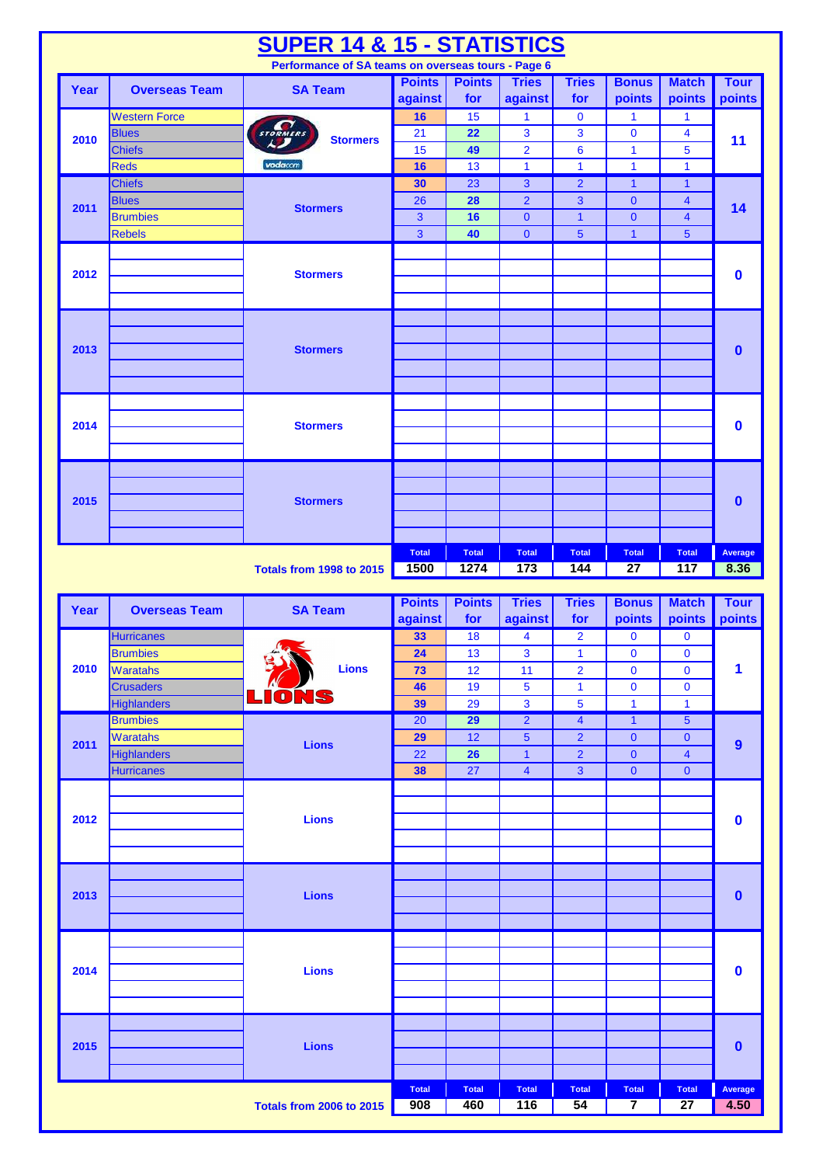|      |                                       | <b>SUPER 14 &amp; 15 - STATISTICS</b>              |                          |                       |                                  |                              |                              |                            |                       |
|------|---------------------------------------|----------------------------------------------------|--------------------------|-----------------------|----------------------------------|------------------------------|------------------------------|----------------------------|-----------------------|
|      |                                       | Performance of SA teams on overseas tours - Page 6 |                          |                       |                                  |                              |                              |                            |                       |
| Year | <b>Overseas Team</b>                  | <b>SA Team</b>                                     | <b>Points</b><br>against | <b>Points</b><br>for  | <b>Tries</b><br>against          | <b>Tries</b><br>for          | <b>Bonus</b><br>points       | <b>Match</b><br>points     | <b>Tour</b><br>points |
|      | <b>Western Force</b>                  |                                                    | 16                       | 15                    | 1                                | $\mathbf 0$                  | $\mathbf{1}$                 | 1                          |                       |
| 2010 | <b>Blues</b>                          | STORMERS<br><b>Stormers</b>                        | 21                       | 22                    | 3                                | 3                            | $\mathbf 0$                  | 4                          | 11                    |
|      | <b>Chiefs</b>                         |                                                    | 15                       | 49                    | $\overline{2}$                   | $6\phantom{a}$               | $\mathbf{1}$                 | 5                          |                       |
|      | <b>Reds</b>                           | vodacom                                            | 16                       | 13                    | $\mathbf{1}$                     | $\mathbf{1}$                 | $\mathbf{1}$                 | $\mathbf{1}$               |                       |
|      | <b>Chiefs</b>                         |                                                    | 30                       | 23                    | $\mathbf{3}$                     | $\overline{2}$               | $\mathbf{1}$                 | $\mathbf{1}$               |                       |
| 2011 | <b>Blues</b>                          | <b>Stormers</b>                                    | 26                       | 28                    | $\overline{2}$                   | 3                            | $\mathbf{0}$                 | $\overline{\mathbf{4}}$    | 14                    |
|      | <b>Brumbies</b>                       |                                                    | $\mathbf{3}$             | 16                    | $\mathbf{0}$                     | $\mathbf{1}$                 | $\mathbf{0}$                 | $\overline{4}$             |                       |
|      | <b>Rebels</b>                         |                                                    | $\overline{3}$           | 40                    | $\overline{0}$                   | $\overline{5}$               | $\overline{1}$               | 5 <sup>5</sup>             |                       |
|      |                                       |                                                    |                          |                       |                                  |                              |                              |                            |                       |
| 2012 |                                       | <b>Stormers</b>                                    |                          |                       |                                  |                              |                              |                            | $\mathbf 0$           |
|      |                                       |                                                    |                          |                       |                                  |                              |                              |                            |                       |
|      |                                       |                                                    |                          |                       |                                  |                              |                              |                            |                       |
|      |                                       |                                                    |                          |                       |                                  |                              |                              |                            |                       |
| 2013 |                                       | <b>Stormers</b>                                    |                          |                       |                                  |                              |                              |                            | $\mathbf 0$           |
|      |                                       |                                                    |                          |                       |                                  |                              |                              |                            |                       |
|      |                                       |                                                    |                          |                       |                                  |                              |                              |                            |                       |
|      |                                       |                                                    |                          |                       |                                  |                              |                              |                            |                       |
|      |                                       |                                                    |                          |                       |                                  |                              |                              |                            |                       |
| 2014 |                                       | <b>Stormers</b>                                    |                          |                       |                                  |                              |                              |                            | $\mathbf 0$           |
|      |                                       |                                                    |                          |                       |                                  |                              |                              |                            |                       |
|      |                                       |                                                    |                          |                       |                                  |                              |                              |                            |                       |
|      |                                       |                                                    |                          |                       |                                  |                              |                              |                            |                       |
| 2015 |                                       | <b>Stormers</b>                                    |                          |                       |                                  |                              |                              |                            | $\mathbf 0$           |
|      |                                       |                                                    |                          |                       |                                  |                              |                              |                            |                       |
|      |                                       |                                                    |                          |                       |                                  |                              |                              |                            |                       |
|      |                                       |                                                    | <b>Total</b>             | <b>Total</b>          | <b>Total</b>                     | <b>Total</b>                 | <b>Total</b>                 | <b>Total</b>               | Average               |
|      |                                       | <b>Totals from 1998 to 2015</b>                    | 1500                     | 1274                  | 173                              | 144                          | $\overline{27}$              | 117                        | 8.36                  |
|      |                                       |                                                    |                          |                       |                                  |                              |                              |                            |                       |
|      |                                       |                                                    |                          |                       |                                  |                              |                              |                            |                       |
| Year | <b>Overseas Team</b>                  | <b>SA Team</b>                                     | <b>Points</b>            | <b>Points</b>         | <b>Tries</b>                     | <b>Tries</b>                 | <b>Bonus</b>                 | <b>Match</b>               | <b>Tour</b>           |
|      |                                       |                                                    | against                  | for                   | against                          | for                          | points                       | points                     | points                |
|      | <b>Hurricanes</b>                     | $\mu_{\alpha}$                                     | 33                       | 18                    | 4                                | $\overline{2}$               | $\mathbf 0$                  | $\bf{0}$                   |                       |
|      | <b>Brumbies</b>                       |                                                    | 24                       | 13                    | 3                                | $\mathbf 1$                  | 0                            | $\bf{0}$                   |                       |
| 2010 | <b>Waratahs</b>                       | <b>Lions</b>                                       | 73                       | 12                    | 11                               | $\overline{2}$               | $\bf{0}$                     | $\mathbf 0$                | 1                     |
|      | <b>Crusaders</b>                      | NS<br>$\blacksquare$                               | 46                       | 19                    | $\overline{\mathbf{5}}$          | $\mathbf{1}$                 | $\bf{0}$                     | $\mathbf 0$                |                       |
|      | <b>Highlanders</b><br><b>Brumbies</b> |                                                    | 39                       | 29                    | $\overline{\mathbf{3}}$          | 5<br>$\overline{\mathbf{4}}$ | $\mathbf{1}$<br>$\mathbf{1}$ | $\mathbf{1}$               |                       |
|      | Waratahs                              |                                                    | $\overline{20}$<br>29    | $\overline{29}$<br>12 | $\overline{2}$<br>$\overline{5}$ | $\overline{2}$               | $\pmb{0}$                    | $\sqrt{5}$<br>$\mathbf{0}$ |                       |
| 2011 | Highlanders                           | <b>Lions</b>                                       | 22                       | 26                    | $\mathbf{1}$                     | $\overline{2}$               | $\pmb{0}$                    | $\overline{\mathbf{4}}$    | $\overline{9}$        |
|      | <b>Hurricanes</b>                     |                                                    | 38                       | 27                    | $\overline{4}$                   | 3                            | $\pmb{0}$                    | $\overline{0}$             |                       |
|      |                                       |                                                    |                          |                       |                                  |                              |                              |                            |                       |
|      |                                       |                                                    |                          |                       |                                  |                              |                              |                            |                       |
| 2012 |                                       | <b>Lions</b>                                       |                          |                       |                                  |                              |                              |                            | $\mathbf 0$           |
|      |                                       |                                                    |                          |                       |                                  |                              |                              |                            |                       |
|      |                                       |                                                    |                          |                       |                                  |                              |                              |                            |                       |
|      |                                       |                                                    |                          |                       |                                  |                              |                              |                            |                       |
| 2013 |                                       | <b>Lions</b>                                       |                          |                       |                                  |                              |                              |                            | $\mathbf 0$           |
|      |                                       |                                                    |                          |                       |                                  |                              |                              |                            |                       |
|      |                                       |                                                    |                          |                       |                                  |                              |                              |                            |                       |
|      |                                       |                                                    |                          |                       |                                  |                              |                              |                            |                       |
| 2014 |                                       | <b>Lions</b>                                       |                          |                       |                                  |                              |                              |                            |                       |
|      |                                       |                                                    |                          |                       |                                  |                              |                              |                            | $\mathbf 0$           |
|      |                                       |                                                    |                          |                       |                                  |                              |                              |                            |                       |
|      |                                       |                                                    |                          |                       |                                  |                              |                              |                            |                       |
|      |                                       |                                                    |                          |                       |                                  |                              |                              |                            |                       |
| 2015 |                                       | <b>Lions</b>                                       |                          |                       |                                  |                              |                              |                            | $\mathbf 0$           |
|      |                                       |                                                    |                          |                       |                                  |                              |                              |                            |                       |
|      |                                       |                                                    | <b>Total</b>             | <b>Total</b>          | <b>Total</b>                     | <b>Total</b>                 | <b>Total</b>                 | <b>Total</b>               | Average               |
|      |                                       | <b>Totals from 2006 to 2015</b>                    | 908                      | 460                   | 116                              | 54                           | 7                            | $\overline{27}$            | 4.50                  |